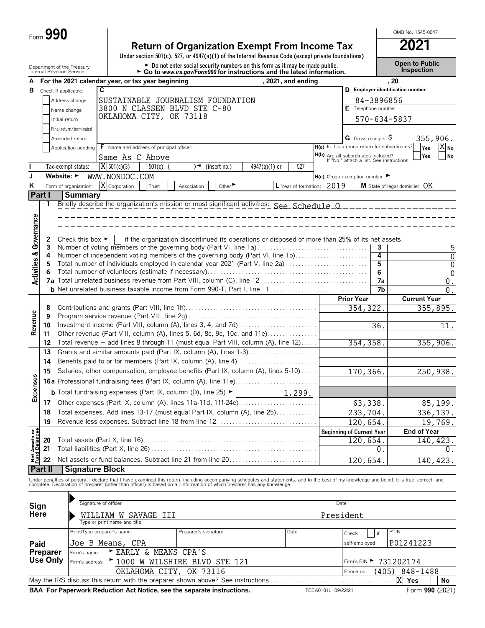|  | Form $990$ |  |
|--|------------|--|
|--|------------|--|

# **Return of Organization Exempt From Income Tax 2021**

**Under section 501(c), 527, or 4947(a)(1) of the Internal Revenue Code (except private foundations)**

Department of the Treasury **and Exercic Connect of the Treasury Connect Connect Connect Connect Connect Connect Connect Connect Connect Connect Connect Connect Connect Connect Connect Connect Connection <b>Connection**<br>Inter

OMB No. 1545-0047

| A                                  |                                                                   |                                      | For the 2021 calendar year, or tax year beginning                                                                                                                                                                                                                                                                        |                                                                                                 |                 | , 2021, and ending |                                                                                  |                                     | .20        |                                                         |                     |
|------------------------------------|-------------------------------------------------------------------|--------------------------------------|--------------------------------------------------------------------------------------------------------------------------------------------------------------------------------------------------------------------------------------------------------------------------------------------------------------------------|-------------------------------------------------------------------------------------------------|-----------------|--------------------|----------------------------------------------------------------------------------|-------------------------------------|------------|---------------------------------------------------------|---------------------|
| в                                  |                                                                   | Check if applicable:                 | C                                                                                                                                                                                                                                                                                                                        |                                                                                                 |                 |                    |                                                                                  |                                     |            | D Employer identification number                        |                     |
|                                    | Address change<br>SUSTAINABLE JOURNALISM FOUNDATION<br>84-3896856 |                                      |                                                                                                                                                                                                                                                                                                                          |                                                                                                 |                 |                    |                                                                                  |                                     |            |                                                         |                     |
|                                    | 3800 N CLASSEN BLVD STE C-80<br>E Telephone number<br>Name change |                                      |                                                                                                                                                                                                                                                                                                                          |                                                                                                 |                 |                    |                                                                                  |                                     |            |                                                         |                     |
|                                    | OKLAHOMA CITY, OK 73118<br>570-634-5837<br>Initial return         |                                      |                                                                                                                                                                                                                                                                                                                          |                                                                                                 |                 |                    |                                                                                  |                                     |            |                                                         |                     |
|                                    | Final return/terminated                                           |                                      |                                                                                                                                                                                                                                                                                                                          |                                                                                                 |                 |                    |                                                                                  |                                     |            |                                                         |                     |
|                                    |                                                                   | Amended return                       |                                                                                                                                                                                                                                                                                                                          |                                                                                                 |                 |                    |                                                                                  | <b>G</b> Gross receipts $\varsigma$ |            |                                                         | 355,906.            |
|                                    |                                                                   | Application pending                  | F Name and address of principal officer:                                                                                                                                                                                                                                                                                 |                                                                                                 |                 |                    | H(a) Is this a group return for subordinates?                                    |                                     |            | Yes                                                     | $X_{N0}$            |
|                                    |                                                                   |                                      |                                                                                                                                                                                                                                                                                                                          |                                                                                                 |                 |                    |                                                                                  |                                     |            | Yes                                                     | No                  |
|                                    |                                                                   |                                      | Same As C Above                                                                                                                                                                                                                                                                                                          |                                                                                                 |                 |                    | H(b) Are all subordinates included?<br>If "No," attach a list. See instructions. |                                     |            |                                                         |                     |
|                                    |                                                                   | Tax-exempt status:                   | $X$ 501(c)(3)<br>$501(c)$ (                                                                                                                                                                                                                                                                                              | (insert no.)<br>)◄                                                                              | $4947(a)(1)$ or | 527                |                                                                                  |                                     |            |                                                         |                     |
| J                                  |                                                                   | Website: ►                           | WWW.NONDOC.COM                                                                                                                                                                                                                                                                                                           |                                                                                                 |                 |                    | $H(c)$ Group exemption number $\blacktriangleright$                              |                                     |            |                                                         |                     |
| K                                  |                                                                   | Form of organization:                | X Corporation<br>Trust                                                                                                                                                                                                                                                                                                   | Other <sup>&gt;</sup><br>Association                                                            |                 |                    | L Year of formation: 2019                                                        |                                     |            | <b>M</b> State of legal domicile: $\overrightarrow{OK}$ |                     |
|                                    | Part I                                                            | Summary                              |                                                                                                                                                                                                                                                                                                                          |                                                                                                 |                 |                    |                                                                                  |                                     |            |                                                         |                     |
|                                    | 1                                                                 |                                      | Briefly describe the organization's mission or most significant activities: See Schedule 0 ________________                                                                                                                                                                                                              |                                                                                                 |                 |                    |                                                                                  |                                     |            |                                                         |                     |
|                                    |                                                                   |                                      |                                                                                                                                                                                                                                                                                                                          |                                                                                                 |                 |                    |                                                                                  |                                     |            |                                                         |                     |
| <b>Activities &amp; Governance</b> |                                                                   |                                      |                                                                                                                                                                                                                                                                                                                          |                                                                                                 |                 |                    |                                                                                  |                                     |            |                                                         |                     |
|                                    |                                                                   | Check this box $\blacktriangleright$ |                                                                                                                                                                                                                                                                                                                          | if the organization discontinued its operations or disposed of more than 25% of its net assets. |                 |                    |                                                                                  |                                     |            |                                                         |                     |
|                                    | 2<br>3                                                            |                                      | Number of voting members of the governing body (Part VI, line 1a)                                                                                                                                                                                                                                                        |                                                                                                 |                 |                    |                                                                                  |                                     | 3          |                                                         |                     |
|                                    | 4                                                                 |                                      | Number of independent voting members of the governing body (Part VI, line 1b)                                                                                                                                                                                                                                            |                                                                                                 |                 |                    |                                                                                  |                                     | 4          |                                                         | 5<br>$\overline{0}$ |
|                                    | 5                                                                 |                                      | Total number of individuals employed in calendar year 2021 (Part V, line 2a)                                                                                                                                                                                                                                             |                                                                                                 |                 |                    |                                                                                  |                                     | 5          |                                                         | 0                   |
|                                    | 6                                                                 |                                      |                                                                                                                                                                                                                                                                                                                          |                                                                                                 |                 |                    |                                                                                  |                                     | 6          |                                                         | $\mathbf 0$         |
|                                    |                                                                   |                                      |                                                                                                                                                                                                                                                                                                                          |                                                                                                 |                 |                    |                                                                                  |                                     | 7a         |                                                         | 0.                  |
|                                    |                                                                   |                                      |                                                                                                                                                                                                                                                                                                                          |                                                                                                 |                 |                    |                                                                                  |                                     | 7b         |                                                         | 0.                  |
|                                    |                                                                   |                                      |                                                                                                                                                                                                                                                                                                                          |                                                                                                 |                 |                    |                                                                                  | <b>Prior Year</b>                   |            | <b>Current Year</b>                                     |                     |
|                                    | 8                                                                 |                                      |                                                                                                                                                                                                                                                                                                                          |                                                                                                 |                 |                    |                                                                                  | 354, 322.                           |            |                                                         | 355,895.            |
| Revenue                            | 9                                                                 |                                      |                                                                                                                                                                                                                                                                                                                          |                                                                                                 |                 |                    |                                                                                  |                                     |            |                                                         |                     |
|                                    | 10                                                                |                                      |                                                                                                                                                                                                                                                                                                                          |                                                                                                 |                 |                    |                                                                                  |                                     | 36.        |                                                         | 11.                 |
|                                    | 11                                                                |                                      | Other revenue (Part VIII, column (A), lines 5, 6d, 8c, 9c, 10c, and 11e)                                                                                                                                                                                                                                                 |                                                                                                 |                 |                    |                                                                                  |                                     |            |                                                         |                     |
|                                    | 12                                                                |                                      | Total revenue - add lines 8 through 11 (must equal Part VIII, column (A), line 12)                                                                                                                                                                                                                                       |                                                                                                 |                 |                    |                                                                                  | 354, 358.                           |            |                                                         | 355,906.            |
|                                    | 13                                                                |                                      | Grants and similar amounts paid (Part IX, column (A), lines 1-3)                                                                                                                                                                                                                                                         |                                                                                                 |                 |                    |                                                                                  |                                     |            |                                                         |                     |
|                                    | 14                                                                |                                      | Benefits paid to or for members (Part IX, column (A), line 4)                                                                                                                                                                                                                                                            |                                                                                                 |                 |                    |                                                                                  |                                     |            |                                                         |                     |
|                                    | 15                                                                |                                      | Salaries, other compensation, employee benefits (Part IX, column (A), lines 5-10)                                                                                                                                                                                                                                        |                                                                                                 |                 |                    |                                                                                  | 170,366.                            |            |                                                         | 250,938.            |
|                                    |                                                                   |                                      |                                                                                                                                                                                                                                                                                                                          |                                                                                                 |                 |                    |                                                                                  |                                     |            |                                                         |                     |
| Expenses                           |                                                                   |                                      | <b>b</b> Total fundraising expenses (Part IX, column (D), line 25) $\blacktriangleright$                                                                                                                                                                                                                                 |                                                                                                 |                 | 1,299.             |                                                                                  |                                     |            |                                                         |                     |
|                                    | 17                                                                |                                      | Other expenses (Part IX, column (A), lines 11a-11d, 11f-24e)                                                                                                                                                                                                                                                             |                                                                                                 |                 |                    |                                                                                  | 63,338.                             |            |                                                         | 85,199.             |
|                                    | 18                                                                |                                      | Total expenses. Add lines 13-17 (must equal Part IX, column (A), line 25)                                                                                                                                                                                                                                                |                                                                                                 |                 |                    |                                                                                  | 233,704.                            |            |                                                         | 336, 137.           |
|                                    | 19                                                                |                                      | Revenue less expenses. Subtract line 18 from line 12                                                                                                                                                                                                                                                                     |                                                                                                 |                 |                    |                                                                                  | 120,654.                            |            |                                                         | 19,769.             |
| 50                                 |                                                                   |                                      |                                                                                                                                                                                                                                                                                                                          |                                                                                                 |                 |                    |                                                                                  | <b>Beginning of Current Year</b>    |            | End of Year                                             |                     |
|                                    | 20                                                                |                                      |                                                                                                                                                                                                                                                                                                                          |                                                                                                 |                 |                    |                                                                                  | 120,654.                            |            |                                                         | 140,423.            |
|                                    | 21                                                                |                                      |                                                                                                                                                                                                                                                                                                                          |                                                                                                 |                 |                    |                                                                                  |                                     | 0          |                                                         | Ο.                  |
| Net Assets<br>Fund Balanc          | 22                                                                |                                      | Net assets or fund balances. Subtract line 21 from line 20                                                                                                                                                                                                                                                               |                                                                                                 |                 |                    |                                                                                  | 120,654                             |            |                                                         |                     |
|                                    | Part II                                                           | <b>Signature Block</b>               |                                                                                                                                                                                                                                                                                                                          |                                                                                                 |                 |                    |                                                                                  |                                     |            |                                                         | 140,423.            |
|                                    |                                                                   |                                      |                                                                                                                                                                                                                                                                                                                          |                                                                                                 |                 |                    |                                                                                  |                                     |            |                                                         |                     |
|                                    |                                                                   |                                      | Under penalties of perjury, I declare that I have examined this return, including accompanying schedules and statements, and to the best of my knowledge and belief, it is true, correct, and<br>complete. Declaration of preparer (other than officer) is based on all information of which preparer has any knowledge. |                                                                                                 |                 |                    |                                                                                  |                                     |            |                                                         |                     |
|                                    |                                                                   |                                      |                                                                                                                                                                                                                                                                                                                          |                                                                                                 |                 |                    |                                                                                  |                                     |            |                                                         |                     |
| Sign                               |                                                                   |                                      | Signature of officer                                                                                                                                                                                                                                                                                                     |                                                                                                 |                 |                    | Date                                                                             |                                     |            |                                                         |                     |
| Here                               |                                                                   |                                      | WILLIAM W SAVAGE III                                                                                                                                                                                                                                                                                                     |                                                                                                 |                 |                    | President                                                                        |                                     |            |                                                         |                     |
|                                    |                                                                   |                                      | Type or print name and title                                                                                                                                                                                                                                                                                             |                                                                                                 |                 |                    |                                                                                  |                                     |            |                                                         |                     |
|                                    |                                                                   |                                      | Print/Type preparer's name                                                                                                                                                                                                                                                                                               | Preparer's signature                                                                            |                 | Date               |                                                                                  | Check                               | PTIN<br>if |                                                         |                     |
| Paid                               |                                                                   |                                      | Joe B Means, CPA                                                                                                                                                                                                                                                                                                         |                                                                                                 |                 |                    |                                                                                  | self-employed                       |            | P01241223                                               |                     |
|                                    | Preparer                                                          | Firm's name                          | ► EARLY &<br>MEANS                                                                                                                                                                                                                                                                                                       | CPA'S                                                                                           |                 |                    |                                                                                  |                                     |            |                                                         |                     |
|                                    | Use Only                                                          | Firm's address                       |                                                                                                                                                                                                                                                                                                                          | * 1000 W WILSHIRE BLVD STE 121                                                                  |                 |                    |                                                                                  | Firm's EIN ▶                        |            | 731202174                                               |                     |
|                                    |                                                                   |                                      | OKLAHOMA CITY,                                                                                                                                                                                                                                                                                                           | OK 73116                                                                                        |                 |                    |                                                                                  | Phone no.                           | (405)      | 848-1488                                                |                     |
|                                    |                                                                   |                                      | May the IRS discuss this return with the preparer shown above? See instructions                                                                                                                                                                                                                                          |                                                                                                 |                 |                    |                                                                                  |                                     |            | X<br>Yes                                                | No                  |
|                                    |                                                                   |                                      | BAA For Paperwork Reduction Act Notice, see the separate instructions.                                                                                                                                                                                                                                                   |                                                                                                 |                 |                    | TEEA0101L 09/22/21                                                               |                                     |            | Form 990 (2021)                                         |                     |
|                                    |                                                                   |                                      |                                                                                                                                                                                                                                                                                                                          |                                                                                                 |                 |                    |                                                                                  |                                     |            |                                                         |                     |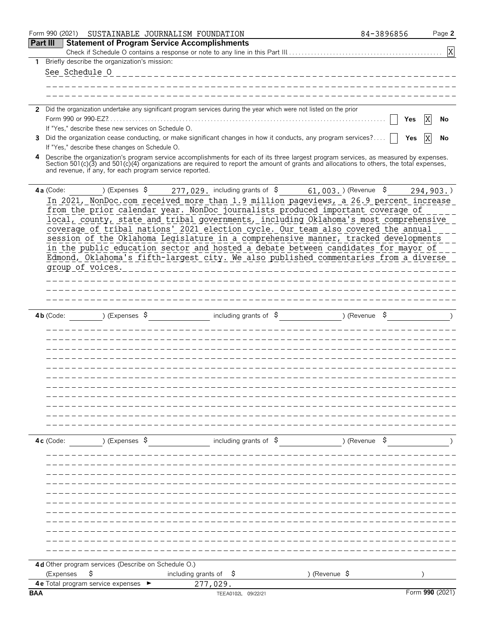|              | Form 990 (2021)<br>SUSTAINABLE JOURNALISM FOUNDATION                                                                                                                                                                                                                             |                                                                  | 84-3896856    | Page 2          |
|--------------|----------------------------------------------------------------------------------------------------------------------------------------------------------------------------------------------------------------------------------------------------------------------------------|------------------------------------------------------------------|---------------|-----------------|
|              | Part III<br><b>Statement of Program Service Accomplishments</b>                                                                                                                                                                                                                  |                                                                  |               |                 |
|              |                                                                                                                                                                                                                                                                                  |                                                                  |               | X               |
| $\mathbf{1}$ | Briefly describe the organization's mission:                                                                                                                                                                                                                                     |                                                                  |               |                 |
|              | See Schedule 0                                                                                                                                                                                                                                                                   |                                                                  |               |                 |
|              |                                                                                                                                                                                                                                                                                  |                                                                  |               |                 |
|              |                                                                                                                                                                                                                                                                                  |                                                                  |               |                 |
|              | 2 Did the organization undertake any significant program services during the year which were not listed on the prior                                                                                                                                                             |                                                                  |               |                 |
|              |                                                                                                                                                                                                                                                                                  |                                                                  |               | X<br>Yes<br>No  |
|              | If "Yes," describe these new services on Schedule O.                                                                                                                                                                                                                             |                                                                  |               |                 |
| 3            | Did the organization cease conducting, or make significant changes in how it conducts, any program services?                                                                                                                                                                     |                                                                  |               | X<br>Yes<br>No  |
|              | If "Yes," describe these changes on Schedule O.                                                                                                                                                                                                                                  |                                                                  |               |                 |
| 4            | Describe the organization's program service accomplishments for each of its three largest program services, as measured by expenses.<br>Section 501(c)(3) and 501(c)(4) organizations are required to report the amount of grants and allocations to others, the total expenses, |                                                                  |               |                 |
|              | and revenue, if any, for each program service reported.                                                                                                                                                                                                                          |                                                                  |               |                 |
|              |                                                                                                                                                                                                                                                                                  |                                                                  |               |                 |
|              | 4a (Code:<br>) (Expenses \$                                                                                                                                                                                                                                                      | 277, 029. including grants of \$61, 003. > (Revenue \$294, 903.) |               |                 |
|              | In 2021, NonDoc.com received more than 1.9 million pageviews, a 26.9 percent increase<br>from the prior calendar year. NonDoc journalists produced important coverage of                                                                                                         |                                                                  |               |                 |
|              | local, county, state and tribal governments, including Oklahoma's most comprehensive                                                                                                                                                                                             |                                                                  |               |                 |
|              | coverage of tribal nations' 2021 election cycle. Our team also covered the annual                                                                                                                                                                                                |                                                                  |               |                 |
|              | session of the Oklahoma Legislature in a comprehensive manner, tracked developments                                                                                                                                                                                              |                                                                  |               |                 |
|              | in the public education sector and hosted a debate between candidates for mayor of                                                                                                                                                                                               |                                                                  |               |                 |
|              | Edmond, Oklahoma's fifth-largest city. We also published commentaries from a diverse                                                                                                                                                                                             |                                                                  |               |                 |
|              | group of voices.                                                                                                                                                                                                                                                                 | _ _ _ _ _ _ _ _                                                  |               |                 |
|              |                                                                                                                                                                                                                                                                                  |                                                                  |               |                 |
|              |                                                                                                                                                                                                                                                                                  |                                                                  |               |                 |
|              |                                                                                                                                                                                                                                                                                  |                                                                  |               |                 |
|              | ) (Expenses \$<br>$4b$ (Code:                                                                                                                                                                                                                                                    | including grants of $\sqrt{5}$<br>$($ Revenue $\frac{1}{2}$      |               |                 |
|              |                                                                                                                                                                                                                                                                                  |                                                                  |               |                 |
|              |                                                                                                                                                                                                                                                                                  |                                                                  |               |                 |
|              |                                                                                                                                                                                                                                                                                  |                                                                  |               |                 |
|              |                                                                                                                                                                                                                                                                                  |                                                                  |               |                 |
|              |                                                                                                                                                                                                                                                                                  |                                                                  |               |                 |
|              |                                                                                                                                                                                                                                                                                  |                                                                  |               |                 |
|              |                                                                                                                                                                                                                                                                                  |                                                                  |               |                 |
|              |                                                                                                                                                                                                                                                                                  |                                                                  |               |                 |
|              |                                                                                                                                                                                                                                                                                  |                                                                  |               |                 |
|              |                                                                                                                                                                                                                                                                                  |                                                                  |               |                 |
|              |                                                                                                                                                                                                                                                                                  |                                                                  |               |                 |
|              | ) (Expenses $\frac{1}{2}$<br>$4c$ (Code:                                                                                                                                                                                                                                         | including grants of $\sqrt{5}$                                   | ) (Revenue \$ |                 |
|              |                                                                                                                                                                                                                                                                                  |                                                                  |               |                 |
|              |                                                                                                                                                                                                                                                                                  |                                                                  |               |                 |
|              |                                                                                                                                                                                                                                                                                  |                                                                  |               |                 |
|              |                                                                                                                                                                                                                                                                                  |                                                                  |               |                 |
|              |                                                                                                                                                                                                                                                                                  |                                                                  |               |                 |
|              |                                                                                                                                                                                                                                                                                  |                                                                  |               |                 |
|              |                                                                                                                                                                                                                                                                                  |                                                                  |               |                 |
|              |                                                                                                                                                                                                                                                                                  |                                                                  |               |                 |
|              |                                                                                                                                                                                                                                                                                  |                                                                  |               |                 |
|              |                                                                                                                                                                                                                                                                                  |                                                                  |               |                 |
|              | 4d Other program services (Describe on Schedule O.)                                                                                                                                                                                                                              |                                                                  |               |                 |
|              | \$<br>including grants of<br>(Expenses                                                                                                                                                                                                                                           | ) (Revenue \$<br>-Ş                                              |               |                 |
|              | <b>4e</b> Total program service expenses<br>277,029.                                                                                                                                                                                                                             |                                                                  |               |                 |
| <b>BAA</b>   |                                                                                                                                                                                                                                                                                  | TEEA0102L 09/22/21                                               |               | Form 990 (2021) |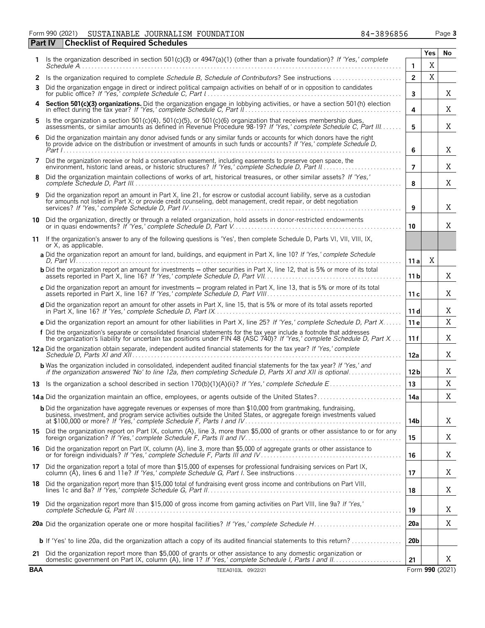Form 990 (2021) SUSTAINABLE JOURNALISM FOUNDATION 84-3896856 Page **3** 

|     | <b>Checklist of Required Schedules</b><br><b>Part IV</b>                                                                                                                                                                                            |                 |             |                 |
|-----|-----------------------------------------------------------------------------------------------------------------------------------------------------------------------------------------------------------------------------------------------------|-----------------|-------------|-----------------|
|     |                                                                                                                                                                                                                                                     |                 | Yes         | No              |
|     | Is the organization described in section 501(c)(3) or 4947(a)(1) (other than a private foundation)? If 'Yes,' complete                                                                                                                              | 1               | $\mathbf X$ |                 |
| 2   | Is the organization required to complete Schedule B, Schedule of Contributors? See instructions                                                                                                                                                     | $\overline{2}$  | X           |                 |
| 3   | Did the organization engage in direct or indirect political campaign activities on behalf of or in opposition to candidates                                                                                                                         | $\mathbf{3}$    |             | X               |
| 4   | Section 501(c)(3) organizations. Did the organization engage in lobbying activities, or have a section 501(h) election in effect during the tax year? If 'Yes,' complete Schedule C, Part II                                                        | 4               |             | Χ               |
| 5.  | Is the organization a section 501(c)(4), 501(c)(5), or 501(c)(6) organization that receives membership dues,<br>assessments, or similar amounts as defined in Revenue Procedure 98-19? If 'Yes,' complete Schedule C, Part III                      | 5               |             | Χ               |
| 6   | Did the organization maintain any donor advised funds or any similar funds or accounts for which donors have the right to provide advice on the distribution or investment of amounts in such funds or accounts? If 'Yes,' com                      | 6               |             | X               |
| 7   | Did the organization receive or hold a conservation easement, including easements to preserve open space, the<br>environment, historic land areas, or historic structures? If 'Yes,' complete Schedule D, Part II                                   | 7               |             | X               |
| 8   | Did the organization maintain collections of works of art, historical treasures, or other similar assets? If 'Yes,'                                                                                                                                 | 8               |             | Χ               |
| 9   | Did the organization report an amount in Part X, line 21, for escrow or custodial account liability, serve as a custodian<br>for amounts not listed in Part X; or provide credit counseling, debt management, credit repair, or debt negotiation    | 9               |             | Χ               |
|     | 10 Did the organization, directly or through a related organization, hold assets in donor-restricted endowments                                                                                                                                     | 10              |             | Χ               |
|     | 11 If the organization's answer to any of the following questions is 'Yes', then complete Schedule D, Parts VI, VII, VIII, IX,<br>or X, as applicable.                                                                                              |                 |             |                 |
|     | a Did the organization report an amount for land, buildings, and equipment in Part X, line 10? If 'Yes,' complete Schedule                                                                                                                          | 11a             | X           |                 |
|     | <b>b</b> Did the organization report an amount for investments – other securities in Part X, line 12, that is 5% or more of its total                                                                                                               | 11 <sub>b</sub> |             | Χ               |
|     | c Did the organization report an amount for investments - program related in Part X, line 13, that is 5% or more of its total                                                                                                                       | 11c             |             | Χ               |
|     | d Did the organization report an amount for other assets in Part X, line 15, that is 5% or more of its total assets reported                                                                                                                        | 11 d            |             | Χ               |
|     | e Did the organization report an amount for other liabilities in Part X, line 25? If 'Yes,' complete Schedule D, Part X                                                                                                                             | 11 <sub>e</sub> |             | X               |
|     | f Did the organization's separate or consolidated financial statements for the tax year include a footnote that addresses<br>the organization's liability for uncertain tax positions under FIN 48 (ASC 740)? If 'Yes,' complete Schedule D, Part X | 11f             |             | Χ               |
|     | 12a Did the organization obtain separate, independent audited financial statements for the tax year? If 'Yes,' complete                                                                                                                             | 12a             |             | Χ               |
|     | <b>b</b> Was the organization included in consolidated, independent audited financial statements for the tax year? If 'Yes,' and<br>if the organization answered 'No' to line 12a, then completing Schedule D, Parts XI and XII is optional         | 12 <sub>b</sub> |             | Χ               |
|     |                                                                                                                                                                                                                                                     | 13              |             | X               |
|     |                                                                                                                                                                                                                                                     | 14a             |             | Χ               |
|     | <b>b</b> Did the organization have aggregate revenues or expenses of more than \$10,000 from grantmaking, fundraising,<br>business, investment, and program service activities outside the United States, or aggregate foreign investments valued   |                 |             |                 |
|     | 15 Did the organization report on Part IX, column (A), line 3, more than \$5,000 of grants or other assistance to or for any                                                                                                                        | 14b<br>15       |             | X<br>Χ          |
|     | 16 Did the organization report on Part IX, column (A), line 3, more than \$5,000 of aggregate grants or other assistance to                                                                                                                         |                 |             | Χ               |
|     | 17 Did the organization report a total of more than \$15,000 of expenses for professional fundraising services on Part IX,                                                                                                                          | 16              |             |                 |
|     | 18 Did the organization report more than \$15,000 total of fundraising event gross income and contributions on Part VIII,                                                                                                                           | 17              |             | Χ               |
|     | 19 Did the organization report more than \$15,000 of gross income from gaming activities on Part VIII, line 9a? If 'Yes,'                                                                                                                           | 18              |             | Χ               |
|     |                                                                                                                                                                                                                                                     | 19              |             | Χ               |
|     |                                                                                                                                                                                                                                                     | <b>20a</b>      |             | X               |
|     |                                                                                                                                                                                                                                                     | 20 <sub>b</sub> |             |                 |
| 21  | Did the organization report more than \$5,000 of grants or other assistance to any domestic organization or                                                                                                                                         | 21              |             | Χ               |
| BAA | TEEA0103L 09/22/21                                                                                                                                                                                                                                  |                 |             | Form 990 (2021) |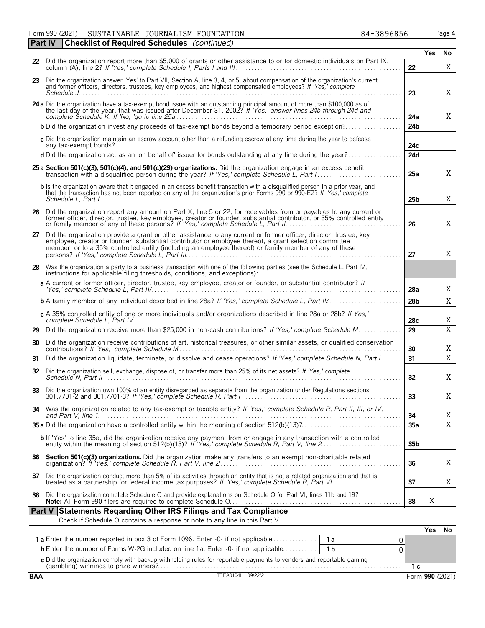Form 990 (2021) SUSTAINABLE JOURNALISM FOUNDATION 84-3896856 Page **4 Part IV Checklist of Required Schedules** *(continued)*

|            |                                                                                                                                                                                                                                                                                                                                       |                 | Yes             | No                    |
|------------|---------------------------------------------------------------------------------------------------------------------------------------------------------------------------------------------------------------------------------------------------------------------------------------------------------------------------------------|-----------------|-----------------|-----------------------|
|            | 22 Did the organization report more than \$5,000 of grants or other assistance to or for domestic individuals on Part IX,                                                                                                                                                                                                             | 22              |                 | Χ                     |
|            | 23 Did the organization answer 'Yes' to Part VII, Section A, line 3, 4, or 5, about compensation of the organization's current<br>and former officers, directors, trustees, key employees, and highest compensated employees? If 'Yes,' complete                                                                                      | 23              |                 | Χ                     |
|            | 24 a Did the organization have a tax-exempt bond issue with an outstanding principal amount of more than \$100,000 as of the last day of the year, that was issued after December 31, 2002? If 'Yes,' answer lines 24b through                                                                                                        | 24a             |                 | X                     |
|            | <b>b</b> Did the organization invest any proceeds of tax-exempt bonds beyond a temporary period exception?                                                                                                                                                                                                                            | 24 <sub>b</sub> |                 |                       |
|            | c Did the organization maintain an escrow account other than a refunding escrow at any time during the year to defease                                                                                                                                                                                                                | 24с             |                 |                       |
|            | d Did the organization act as an 'on behalf of' issuer for bonds outstanding at any time during the year?                                                                                                                                                                                                                             | <b>24d</b>      |                 |                       |
|            | 25 a Section 501(c)(3), 501(c)(4), and 501(c)(29) organizations. Did the organization engage in an excess benefit<br>transaction with a disqualified person during the year? If 'Yes,' complete Schedule L, Part I                                                                                                                    | 25a             |                 | X                     |
|            | b Is the organization aware that it engaged in an excess benefit transaction with a disqualified person in a prior year, and<br>that the transaction has not been reported on any of the organization's prior Forms 990 or 990-EZ? If 'Yes,' complete                                                                                 | 25b             |                 | Χ                     |
| 26         | Did the organization report any amount on Part X, line 5 or 22, for receivables from or payables to any current or<br>former officer, director, trustee, key employee, creator or founder, substantial contributor, or 35% controlled entity<br>or family member of any of these persons? If 'Yes,' complete Schedule L, Part II.     | 26              |                 | X                     |
| 27         | Did the organization provide a grant or other assistance to any current or former officer, director, trustee, key<br>employee, creator or founder, substantial contributor or employee thereof, a grant selection committee<br>member, or to a 35% controlled entity (including an employee thereof) or family member of any of these | 27              |                 | X                     |
| 28         | Was the organization a party to a business transaction with one of the following parties (see the Schedule L, Part IV,<br>instructions for applicable filing thresholds, conditions, and exceptions):                                                                                                                                 |                 |                 |                       |
|            | a A current or former officer, director, trustee, key employee, creator or founder, or substantial contributor? If                                                                                                                                                                                                                    | 28a             |                 | Χ                     |
|            | <b>b</b> A family member of any individual described in line 28a? If 'Yes,' complete Schedule L, Part IV                                                                                                                                                                                                                              | 28 <sub>b</sub> |                 | X                     |
|            | c A 35% controlled entity of one or more individuals and/or organizations described in line 28a or 28b? If Yes,'                                                                                                                                                                                                                      | 28c             |                 | Χ                     |
| 29         | Did the organization receive more than \$25,000 in non-cash contributions? If 'Yes,' complete Schedule M                                                                                                                                                                                                                              | 29              |                 | $\overline{X}$        |
| 30         | Did the organization receive contributions of art, historical treasures, or other similar assets, or qualified conservation                                                                                                                                                                                                           | 30              |                 | Χ                     |
| 31.        | Did the organization liquidate, terminate, or dissolve and cease operations? If 'Yes,' complete Schedule N, Part I                                                                                                                                                                                                                    | 31              |                 | $\overline{\text{X}}$ |
| 32         | Did the organization sell, exchange, dispose of, or transfer more than 25% of its net assets? If 'Yes,' complete                                                                                                                                                                                                                      | 32              |                 | Χ                     |
| 33         | Did the organization own 100% of an entity disregarded as separate from the organization under Regulations sections                                                                                                                                                                                                                   | 33              |                 | Χ                     |
|            | Was the organization related to any tax-exempt or taxable entity? If 'Yes,' complete Schedule R, Part II, III, or IV,                                                                                                                                                                                                                 | 34              |                 | Χ                     |
|            |                                                                                                                                                                                                                                                                                                                                       | 35a             |                 | $\overline{X}$        |
|            | b If 'Yes' to line 35a, did the organization receive any payment from or engage in any transaction with a controlled<br>entity within the meaning of section 512(b)(13)? If 'Yes,' complete Schedule R, Part V, line 2                                                                                                                | 35 <sub>b</sub> |                 |                       |
| 36         | Section 501(c)(3) organizations. Did the organization make any transfers to an exempt non-charitable related                                                                                                                                                                                                                          | 36              |                 | Χ                     |
| 37         | Did the organization conduct more than 5% of its activities through an entity that is not a related organization and that is treated as a partnership for federal income tax purposes? If 'Yes,' complete Schedule R, Part VI.                                                                                                        | 37              |                 | Χ                     |
| 38         | Did the organization complete Schedule O and provide explanations on Schedule O for Part VI, lines 11b and 19?                                                                                                                                                                                                                        | 38              | Χ               |                       |
|            | Part V Statements Regarding Other IRS Filings and Tax Compliance                                                                                                                                                                                                                                                                      |                 |                 |                       |
|            |                                                                                                                                                                                                                                                                                                                                       |                 |                 |                       |
|            | <b>1a</b> Enter the number reported in box 3 of Form 1096. Enter -0- if not applicable<br>1a<br>0                                                                                                                                                                                                                                     |                 | Yes             | No                    |
|            | <b>b</b> Enter the number of Forms W-2G included on line 1a. Enter -0- if not applicable<br>1 <sub>b</sub><br>0                                                                                                                                                                                                                       |                 |                 |                       |
|            | c Did the organization comply with backup withholding rules for reportable payments to vendors and reportable qaming                                                                                                                                                                                                                  |                 |                 |                       |
|            | TEEA0104L 09/22/21                                                                                                                                                                                                                                                                                                                    | 1 с             |                 |                       |
| <b>BAA</b> |                                                                                                                                                                                                                                                                                                                                       |                 | Form 990 (2021) |                       |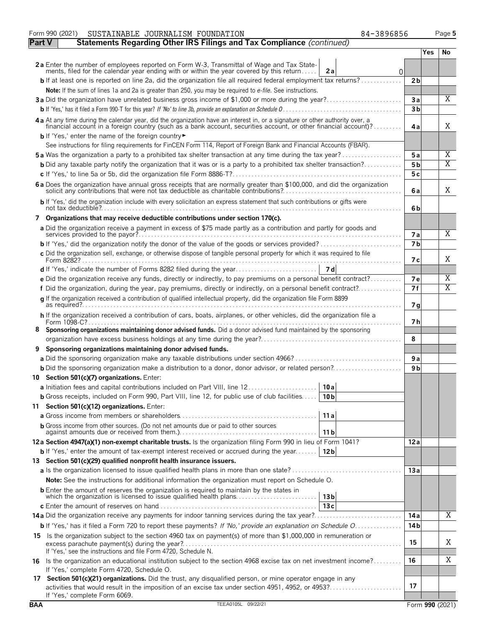|        | SUSTAINABLE JOURNALISM FOUNDATION<br>84-3896856<br>Form 990 (2021)                                                                                                                                                             |                 | Page 5                  |
|--------|--------------------------------------------------------------------------------------------------------------------------------------------------------------------------------------------------------------------------------|-----------------|-------------------------|
| Part V | Statements Regarding Other IRS Filings and Tax Compliance (continued)                                                                                                                                                          |                 |                         |
|        |                                                                                                                                                                                                                                | <b>Yes</b>      | No                      |
|        | 2a Enter the number of employees reported on Form W-3, Transmittal of Wage and Tax Statements, filed for the calendar year ending with or within the year covered by this return<br>2a<br>$\Omega$                             |                 |                         |
|        | <b>b</b> If at least one is reported on line 2a, did the organization file all required federal employment tax returns?                                                                                                        | 2 <sub>b</sub>  |                         |
|        | Note: If the sum of lines 1a and 2a is greater than 250, you may be required to e-file. See instructions.                                                                                                                      |                 |                         |
|        | 3a Did the organization have unrelated business gross income of \$1,000 or more during the year?                                                                                                                               | 3a              | X                       |
|        |                                                                                                                                                                                                                                | 3 <sub>b</sub>  |                         |
|        |                                                                                                                                                                                                                                |                 |                         |
|        | 4 a At any time during the calendar year, did the organization have an interest in, or a signature or other authority over, a financial account in a foreign country (such as a bank account, securities account, or other fin | 4a              | X                       |
|        | b If 'Yes,' enter the name of the foreign country<br>See instructions for filing requirements for FinCEN Form 114, Report of Foreign Bank and Financial Accounts (FBAR).                                                       |                 |                         |
|        | <b>5a</b> Was the organization a party to a prohibited tax shelter transaction at any time during the tax year?                                                                                                                | 5a              | Χ                       |
|        | <b>b</b> Did any taxable party notify the organization that it was or is a party to a prohibited tax shelter transaction?                                                                                                      | 5 <sub>b</sub>  | X                       |
|        |                                                                                                                                                                                                                                | 5c              |                         |
|        | 6 a Does the organization have annual gross receipts that are normally greater than \$100,000, and did the organization solicit any contributions that were not tax deductible as charitable contributions?                    | 6a              | Χ                       |
|        | b If 'Yes,' did the organization include with every solicitation an express statement that such contributions or gifts were                                                                                                    |                 |                         |
|        |                                                                                                                                                                                                                                | 6b              |                         |
|        | 7 Organizations that may receive deductible contributions under section 170(c).                                                                                                                                                |                 |                         |
|        | a Did the organization receive a payment in excess of \$75 made partly as a contribution and partly for goods and                                                                                                              | 7a              | X                       |
|        |                                                                                                                                                                                                                                | 7 <sub>b</sub>  |                         |
|        | c Did the organization sell, exchange, or otherwise dispose of tangible personal property for which it was required to file                                                                                                    | 7 с             | X                       |
|        |                                                                                                                                                                                                                                |                 |                         |
|        | e Did the organization receive any funds, directly or indirectly, to pay premiums on a personal benefit contract?                                                                                                              | <b>7e</b>       | Χ                       |
|        | f Did the organization, during the year, pay premiums, directly or indirectly, on a personal benefit contract?                                                                                                                 | 7f              | $\overline{\mathrm{X}}$ |
|        | q If the organization received a contribution of qualified intellectual property, did the organization file Form 8899                                                                                                          | 7 g             |                         |
|        | h If the organization received a contribution of cars, boats, airplanes, or other vehicles, did the organization file a                                                                                                        |                 |                         |
|        | Form $1098 - C?$                                                                                                                                                                                                               | 7 h             |                         |
| ୪      | Sponsoring organizations maintaining donor advised funds. Did a donor advised fund maintained by the sponsoring                                                                                                                | 8               |                         |
|        | Sponsoring organizations maintaining donor advised funds.                                                                                                                                                                      |                 |                         |
|        | a Did the sponsoring organization make any taxable distributions under section 4966?                                                                                                                                           | 9 a             |                         |
|        |                                                                                                                                                                                                                                | 9 <sub>b</sub>  |                         |
|        | 10 Section 501(c)(7) organizations. Enter:                                                                                                                                                                                     |                 |                         |
|        | 10a <br>a Initiation fees and capital contributions included on Part VIII, line 12                                                                                                                                             |                 |                         |
|        | <b>b</b> Gross receipts, included on Form 990, Part VIII, line 12, for public use of club facilities<br>10 <sub>b</sub>                                                                                                        |                 |                         |
|        | 11 Section 501(c)(12) organizations. Enter:                                                                                                                                                                                    |                 |                         |
|        | 11a                                                                                                                                                                                                                            |                 |                         |
|        | <b>b</b> Gross income from other sources. (Do not net amounts due or paid to other sources                                                                                                                                     |                 |                         |
|        | 11 <sub>b</sub><br>12a Section 4947(a)(1) non-exempt charitable trusts. Is the organization filing Form 990 in lieu of Form 1041?                                                                                              |                 |                         |
|        | <b>b</b> If 'Yes,' enter the amount of tax-exempt interest received or accrued during the year   12b                                                                                                                           | 12a             |                         |
|        | 13 Section 501(c)(29) qualified nonprofit health insurance issuers.                                                                                                                                                            |                 |                         |
|        |                                                                                                                                                                                                                                | 13a             |                         |
|        | <b>Note:</b> See the instructions for additional information the organization must report on Schedule O.                                                                                                                       |                 |                         |
|        | <b>b</b> Enter the amount of reserves the organization is required to maintain by the states in                                                                                                                                |                 |                         |
|        | which the organization is licensed to issue qualified health plans<br>13 <sub>b</sub>                                                                                                                                          |                 |                         |
|        | 13c                                                                                                                                                                                                                            |                 |                         |
|        |                                                                                                                                                                                                                                | 14a             | Χ                       |
|        | <b>b</b> If 'Yes,' has it filed a Form 720 to report these payments? If 'No,' provide an explanation on Schedule O                                                                                                             | 14 <sub>b</sub> |                         |
|        | 15 Is the organization subject to the section 4960 tax on payment(s) of more than \$1,000,000 in remuneration or                                                                                                               | 15              | Χ                       |
|        | If 'Yes,' see the instructions and file Form 4720, Schedule N.                                                                                                                                                                 |                 |                         |
|        | 16 Is the organization an educational institution subject to the section 4968 excise tax on net investment income?<br>If 'Yes,' complete Form 4720, Schedule O.                                                                | 16              | Χ                       |
|        | 17 Section 501(c)(21) organizations. Did the trust, any disqualified person, or mine operator engage in any<br>activities that would result in the imposition of an excise tax under section 4951, 4952, or 4953?              | 17              |                         |
|        | If 'Yes,' complete Form 6069.                                                                                                                                                                                                  |                 |                         |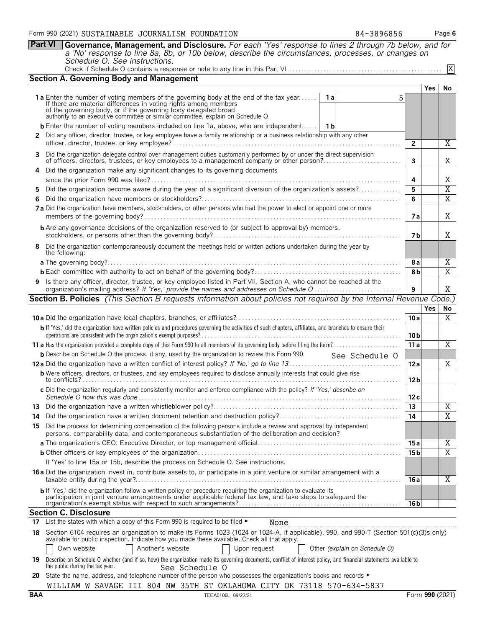| <b>Part VI</b> | Governance, Management, and Disclosure. For each 'Yes' response to lines 2 through 7b below, and for<br>a 'No' response to line 8a, 8b, or 10b below, describe the circumstances, processes, or changes on<br>Schedule O. See instructions.                                                                                  |                 |            |                     |
|----------------|------------------------------------------------------------------------------------------------------------------------------------------------------------------------------------------------------------------------------------------------------------------------------------------------------------------------------|-----------------|------------|---------------------|
|                |                                                                                                                                                                                                                                                                                                                              |                 |            | $\overline{X}$      |
|                | <b>Section A. Governing Body and Management</b>                                                                                                                                                                                                                                                                              |                 |            |                     |
|                |                                                                                                                                                                                                                                                                                                                              |                 | <b>Yes</b> | No                  |
|                | 1a Enter the number of voting members of the governing body at the end of the tax year<br>1a<br>If there are material differences in voting rights among members<br>of the governing body, or if the governing body delegated broad<br>authority to an executive committee or similar committee, explain on Schedule O.      |                 |            |                     |
|                | <b>b</b> Enter the number of voting members included on line 1a, above, who are independent   1b                                                                                                                                                                                                                             |                 |            |                     |
|                | 2 Did any officer, director, trustee, or key employee have a family relationship or a business relationship with any other                                                                                                                                                                                                   | $\overline{2}$  |            | Χ                   |
|                | 3 Did the organization delegate control over management duties customarily performed by or under the direct supervision<br>of officers, directors, trustees, or key employees to a management company or other person?                                                                                                       | 3               |            | Χ                   |
|                | 4 Did the organization make any significant changes to its governing documents                                                                                                                                                                                                                                               |                 |            |                     |
|                |                                                                                                                                                                                                                                                                                                                              | 4               |            | Χ                   |
| 5              | Did the organization become aware during the year of a significant diversion of the organization's assets?                                                                                                                                                                                                                   | 5               |            | $\overline{X}$      |
| 6              | 7 a Did the organization have members, stockholders, or other persons who had the power to elect or appoint one or more                                                                                                                                                                                                      | 6<br>7а         |            | $\overline{X}$<br>X |
|                | <b>b</b> Are any governance decisions of the organization reserved to (or subject to approval by) members,                                                                                                                                                                                                                   | 7 b             |            | X                   |
| 8              | Did the organization contemporaneously document the meetings held or written actions undertaken during the year by<br>the following:                                                                                                                                                                                         |                 |            |                     |
|                |                                                                                                                                                                                                                                                                                                                              | 8 a             |            | X                   |
|                |                                                                                                                                                                                                                                                                                                                              | 8b              |            | $\overline{X}$      |
|                | 9 Is there any officer, director, trustee, or key employee listed in Part VII, Section A, who cannot be reached at the                                                                                                                                                                                                       | 9               |            | Χ                   |
|                | <b>Section B. Policies</b> (This Section B requests information about policies not required by the Internal Revenue Code.)                                                                                                                                                                                                   |                 |            |                     |
|                |                                                                                                                                                                                                                                                                                                                              |                 | <b>Yes</b> | No                  |
|                |                                                                                                                                                                                                                                                                                                                              | 10a             |            | X                   |
|                | b If 'Yes,' did the organization have written policies and procedures governing the activities of such chapters, affiliates, and branches to ensure their                                                                                                                                                                    | 10 b            |            |                     |
|                |                                                                                                                                                                                                                                                                                                                              | 11a             |            | X                   |
|                | <b>b</b> Describe on Schedule O the process, if any, used by the organization to review this Form 990.<br>See Schedule O                                                                                                                                                                                                     |                 |            |                     |
|                |                                                                                                                                                                                                                                                                                                                              | 12a             |            | X                   |
|                | <b>b</b> Were officers, directors, or trustees, and key employees required to disclose annually interests that could give rise                                                                                                                                                                                               | 12 <sub>b</sub> |            |                     |
|                | c Did the organization regularly and consistently monitor and enforce compliance with the policy? If 'Yes,' describe on                                                                                                                                                                                                      | 12 c            |            |                     |
| 13             |                                                                                                                                                                                                                                                                                                                              | 13              |            | X                   |
| 14             |                                                                                                                                                                                                                                                                                                                              | 14              |            | $\overline{X}$      |
| 15.            | Did the process for determining compensation of the following persons include a review and approval by independent<br>persons, comparability data, and contemporaneous substantiation of the deliberation and decision?                                                                                                      |                 |            |                     |
|                |                                                                                                                                                                                                                                                                                                                              | 15 a            |            | X                   |
|                |                                                                                                                                                                                                                                                                                                                              | 15 b            |            | $\overline{X}$      |
|                | If 'Yes' to line 15a or 15b, describe the process on Schedule O. See instructions.                                                                                                                                                                                                                                           |                 |            |                     |
|                | 16 a Did the organization invest in, contribute assets to, or participate in a joint venture or similar arrangement with a                                                                                                                                                                                                   | 16 a            |            | X                   |
|                | b If 'Yes,' did the organization follow a written policy or procedure requiring the organization to evaluate its<br>participation in joint venture arrangements under applicable federal tax law, and take steps to safeguard the                                                                                            | 16 <sub>b</sub> |            |                     |
|                | <b>Section C. Disclosure</b>                                                                                                                                                                                                                                                                                                 |                 |            |                     |
|                | 17 List the states with which a copy of this Form 990 is required to be filed $\blacktriangleright$<br>None                                                                                                                                                                                                                  |                 |            |                     |
| 18             | Section 6104 requires an organization to make its Forms 1023 (1024 or 1024-A, if applicable), 990, and 990-T (Section 501(c)(3)s only)<br>available for public inspection. Indicate how you made these available. Check all that apply.<br>Another's website<br>Own website<br>Upon request<br>Other (explain on Schedule O) |                 |            |                     |
| 19             | Describe on Schedule O whether (and if so, how) the organization made its governing documents, conflict of interest policy, and financial statements available to<br>the public during the tax year.<br>See Schedule O                                                                                                       |                 |            |                     |

**20** State the name, address, and telephone number of the person who possesses the organization's books and records ► WILLIAM W SAVAGE III 804 NW 35TH ST OKLAHOMA CITY OK 73118 570-634-5837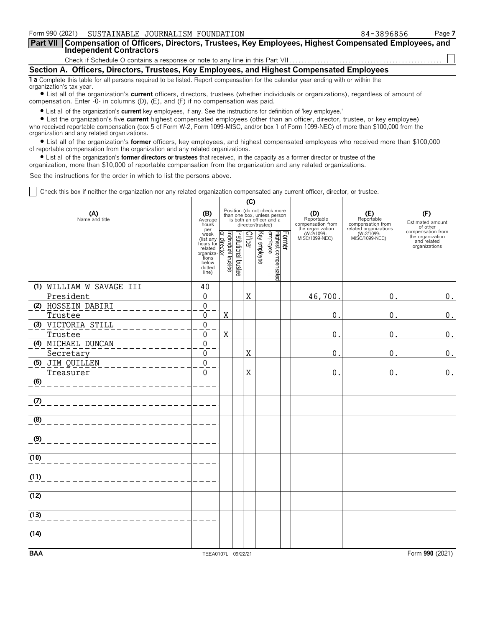|                          | Form 990 (2021) SUSTAINABLE JOURNALISM FOUNDATION                                                                                  | 84-3896856 | Page 7 |
|--------------------------|------------------------------------------------------------------------------------------------------------------------------------|------------|--------|
| <b>Part VII</b>          | Compensation of Officers, Directors, Trustees, Key Employees, Highest Compensated Employees, and<br><b>Independent Contractors</b> |            |        |
|                          |                                                                                                                                    |            |        |
|                          | Section A. Officers, Directors, Trustees, Key Employees, and Highest Compensated Employees                                         |            |        |
| organization's tax year. | 1 a Complete this table for all persons required to be listed. Report compensation for the calendar year ending with or within the |            |        |

? List all of the organization's **current** officers, directors, trustees (whether individuals or organizations), regardless of amount of compensation. Enter -0- in columns (D), (E), and (F) if no compensation was paid.

? List all of the organization's **current** key employees, if any. See the instructions for definition of 'key employee.'

? List the organization's five **current** highest compensated employees (other than an officer, director, trustee, or key employee) who received reportable compensation (box 5 of Form W-2, Form 1099-MISC, and/or box 1 of Form 1099-NEC) of more than \$100,000 from the organization and any related organizations.

? List all of the organization's **former** officers, key employees, and highest compensated employees who received more than \$100,000 of reportable compensation from the organization and any related organizations.

? List all of the organization's **former directors or trustees** that received, in the capacity as a former director or trustee of the

organization, more than \$10,000 of reportable compensation from the organization and any related organizations.

See the instructions for the order in which to list the persons above.

Check this box if neither the organization nor any related organization compensated any current officer, director, or trustee.

|                                 |                                                                                                                                               | (C) |                       |         |                   |                                                                                        |        |                                                            |                                                       |                                                                       |
|---------------------------------|-----------------------------------------------------------------------------------------------------------------------------------------------|-----|-----------------------|---------|-------------------|----------------------------------------------------------------------------------------|--------|------------------------------------------------------------|-------------------------------------------------------|-----------------------------------------------------------------------|
| (A)<br>Name and title           |                                                                                                                                               |     |                       |         | director/trustee) | Position (do not check more<br>than one box, unless person<br>is both an officer and a |        | (D)<br>Reportable<br>compensation from<br>the organization | (F)<br>Estimated amount<br>of other                   |                                                                       |
|                                 | per<br>per<br>(list any Graph<br>hours for detailed<br>hours for related<br>organiza-<br>tions<br>below<br>dotted<br>line)<br>(line)<br>line) |     | Institutional trustee | Officer | Key employee      | Highest compensated<br>employee                                                        | Former | (W-2/1099-<br>MISC/1099-NEC)                               | related organizations<br>(W-2/1099-<br>MISC/1099-NEC) | compensation from<br>the organization<br>and related<br>organizations |
| (1) WILLIAM W SAVAGE III        | 40                                                                                                                                            |     |                       |         |                   |                                                                                        |        |                                                            |                                                       |                                                                       |
| President<br>(2) HOSSEIN DABIRI | 0<br>$\boldsymbol{0}$                                                                                                                         |     |                       | X       |                   |                                                                                        |        | 46,700                                                     | 0.                                                    | 0.                                                                    |
| Trustee                         | 0                                                                                                                                             | X   |                       |         |                   |                                                                                        |        | 0                                                          | 0.                                                    | $\boldsymbol{0}$ .                                                    |
| (3) VICTORIA STILL              | $\boldsymbol{0}$                                                                                                                              |     |                       |         |                   |                                                                                        |        |                                                            |                                                       |                                                                       |
| Trustee                         | 0                                                                                                                                             | X   |                       |         |                   |                                                                                        |        | 0                                                          | 0.                                                    | $\boldsymbol{0}$ .                                                    |
| (4) MICHAEL DUNCAN              | $\overline{0}$                                                                                                                                |     |                       |         |                   |                                                                                        |        |                                                            |                                                       |                                                                       |
| Secretary                       | $\mathbf 0$                                                                                                                                   |     |                       | Χ       |                   |                                                                                        |        | 0                                                          | 0.                                                    | 0.                                                                    |
| (5) JIM QUILLEN<br>Treasurer    | $\boldsymbol{0}$<br>$\mathbf{0}$                                                                                                              |     |                       | X       |                   |                                                                                        |        | 0                                                          | 0.                                                    | 0.                                                                    |
| (6)                             |                                                                                                                                               |     |                       |         |                   |                                                                                        |        |                                                            |                                                       |                                                                       |
| (7)                             |                                                                                                                                               |     |                       |         |                   |                                                                                        |        |                                                            |                                                       |                                                                       |
| (8)                             |                                                                                                                                               |     |                       |         |                   |                                                                                        |        |                                                            |                                                       |                                                                       |
| (9)                             |                                                                                                                                               |     |                       |         |                   |                                                                                        |        |                                                            |                                                       |                                                                       |
| (10)                            |                                                                                                                                               |     |                       |         |                   |                                                                                        |        |                                                            |                                                       |                                                                       |
| (11)                            |                                                                                                                                               |     |                       |         |                   |                                                                                        |        |                                                            |                                                       |                                                                       |
| (12)                            |                                                                                                                                               |     |                       |         |                   |                                                                                        |        |                                                            |                                                       |                                                                       |
| (13)                            |                                                                                                                                               |     |                       |         |                   |                                                                                        |        |                                                            |                                                       |                                                                       |
| (14)                            |                                                                                                                                               |     |                       |         |                   |                                                                                        |        |                                                            |                                                       |                                                                       |
| <b>BAA</b>                      | TEEA0107L 09/22/21                                                                                                                            |     |                       |         |                   |                                                                                        |        |                                                            |                                                       | Form 990 (2021)                                                       |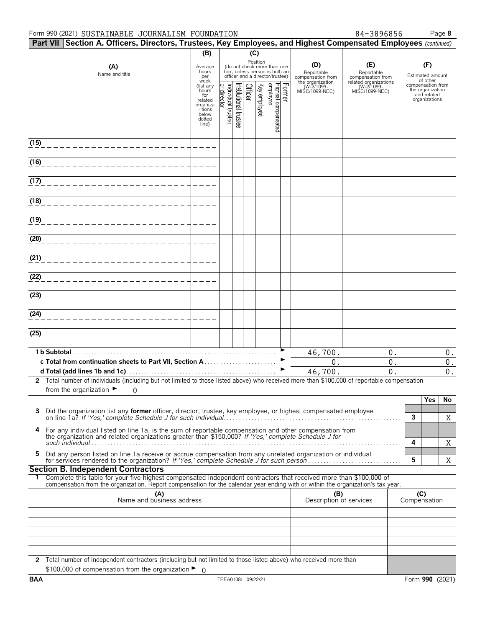#### Form 990 (2021) SUSTAINABLE JOURNALISM FOUNDATION 84-3896856 Page **8**

| 84-3896856 |  |
|------------|--|
|            |  |

|            | Part VII Section A. Officers, Directors, Trustees, Key Employees, and Highest Compensated Employees (continued)                                                                                                                                            |                                                                                                      |                                     |                      |         |              |                                 |        |                                            |                                                          |                                                  |
|------------|------------------------------------------------------------------------------------------------------------------------------------------------------------------------------------------------------------------------------------------------------------|------------------------------------------------------------------------------------------------------|-------------------------------------|----------------------|---------|--------------|---------------------------------|--------|--------------------------------------------|----------------------------------------------------------|--------------------------------------------------|
|            |                                                                                                                                                                                                                                                            | (B)                                                                                                  |                                     |                      | (C)     |              |                                 |        |                                            |                                                          |                                                  |
|            | Position<br>(D)<br>(E)<br>(A)<br>(do not check more than one<br>Average<br>box, unless person is both an<br>hours<br>Reportable<br>Reportable<br>Name and title<br>officer and a director/trustee)<br>per<br>compensation from<br>week<br>the organization |                                                                                                      |                                     |                      |         |              |                                 |        | compensation from<br>related organizations | (F)<br>Estimated amount<br>of other<br>compensation from |                                                  |
|            |                                                                                                                                                                                                                                                            | (list any<br>hours <sup>-</sup><br>for<br>related<br>organiza<br>- tions<br>below<br>dotted<br>line) | Individual trustee<br>Q,<br>irector | nstitutional trustee | Officer | Key employee | Highest compensated<br>employee | Former | (W-2/1099-<br>MISC/1099-NEC)               | (W-2/1099-<br>MISC/1099-NEC)                             | the organization<br>and related<br>organizations |
| (15)       |                                                                                                                                                                                                                                                            |                                                                                                      |                                     |                      |         |              |                                 |        |                                            |                                                          |                                                  |
| (16)       |                                                                                                                                                                                                                                                            |                                                                                                      |                                     |                      |         |              |                                 |        |                                            |                                                          |                                                  |
| (17)       |                                                                                                                                                                                                                                                            |                                                                                                      |                                     |                      |         |              |                                 |        |                                            |                                                          |                                                  |
| (18)       |                                                                                                                                                                                                                                                            |                                                                                                      |                                     |                      |         |              |                                 |        |                                            |                                                          |                                                  |
| (19)       |                                                                                                                                                                                                                                                            |                                                                                                      |                                     |                      |         |              |                                 |        |                                            |                                                          |                                                  |
| (20)       |                                                                                                                                                                                                                                                            |                                                                                                      |                                     |                      |         |              |                                 |        |                                            |                                                          |                                                  |
| (21)       |                                                                                                                                                                                                                                                            |                                                                                                      |                                     |                      |         |              |                                 |        |                                            |                                                          |                                                  |
| (22)       |                                                                                                                                                                                                                                                            |                                                                                                      |                                     |                      |         |              |                                 |        |                                            |                                                          |                                                  |
| (23)       |                                                                                                                                                                                                                                                            |                                                                                                      |                                     |                      |         |              |                                 |        |                                            |                                                          |                                                  |
| (24)       |                                                                                                                                                                                                                                                            |                                                                                                      |                                     |                      |         |              |                                 |        |                                            |                                                          |                                                  |
| (25)       |                                                                                                                                                                                                                                                            |                                                                                                      |                                     |                      |         |              |                                 |        |                                            |                                                          |                                                  |
|            | 1 b Subtotal.                                                                                                                                                                                                                                              |                                                                                                      |                                     |                      |         |              |                                 |        | 46,700.                                    | 0.                                                       | $0$ .                                            |
|            |                                                                                                                                                                                                                                                            |                                                                                                      |                                     |                      |         |              |                                 |        | $0$ .                                      | 0.                                                       | $0$ .                                            |
|            |                                                                                                                                                                                                                                                            |                                                                                                      |                                     |                      |         |              |                                 |        | 46,700.                                    | 0.                                                       | $0$ .                                            |
|            | 2 Total number of individuals (including but not limited to those listed above) who received more than \$100,000 of reportable compensation<br>from the organization $\blacktriangleright$<br>0                                                            |                                                                                                      |                                     |                      |         |              |                                 |        |                                            |                                                          |                                                  |
| 3          | Did the organization list any <b>former</b> officer, director, trustee, key employee, or highest compensated employee                                                                                                                                      |                                                                                                      |                                     |                      |         |              |                                 |        |                                            |                                                          | Yes<br>No<br>$\mathbf{3}$<br>X                   |
| 4          | For any individual listed on line 1a, is the sum of reportable compensation and other compensation from<br>the organization and related organizations greater than \$150,000? If 'Yes,' complete Schedule J for                                            |                                                                                                      |                                     |                      |         |              |                                 |        |                                            |                                                          | 4                                                |
| 5          | Did any person listed on line 1a receive or accrue compensation from any unrelated organization or individual                                                                                                                                              |                                                                                                      |                                     |                      |         |              |                                 |        |                                            |                                                          | Χ<br>5<br>X                                      |
|            | <b>Section B. Independent Contractors</b>                                                                                                                                                                                                                  |                                                                                                      |                                     |                      |         |              |                                 |        |                                            |                                                          |                                                  |
| ı.         | Complete this table for your five highest compensated independent contractors that received more than \$100,000 of<br>compensation from the organization. Report compensation for the calendar year ending with or within the organization's tax year.     |                                                                                                      |                                     |                      |         |              |                                 |        |                                            |                                                          |                                                  |
|            | (A)<br>Name and business address                                                                                                                                                                                                                           |                                                                                                      |                                     |                      |         |              |                                 |        | (B)<br>Description of services             |                                                          | (C)<br>Compensation                              |
|            |                                                                                                                                                                                                                                                            |                                                                                                      |                                     |                      |         |              |                                 |        |                                            |                                                          |                                                  |
|            |                                                                                                                                                                                                                                                            |                                                                                                      |                                     |                      |         |              |                                 |        |                                            |                                                          |                                                  |
|            | 2 Total number of independent contractors (including but not limited to those listed above) who received more than                                                                                                                                         |                                                                                                      |                                     |                      |         |              |                                 |        |                                            |                                                          |                                                  |
| <b>BAA</b> | \$100,000 of compensation from the organization $\blacktriangleright$ 0                                                                                                                                                                                    |                                                                                                      | TEEA0108L 09/22/21                  |                      |         |              |                                 |        |                                            |                                                          | Form 990 (2021)                                  |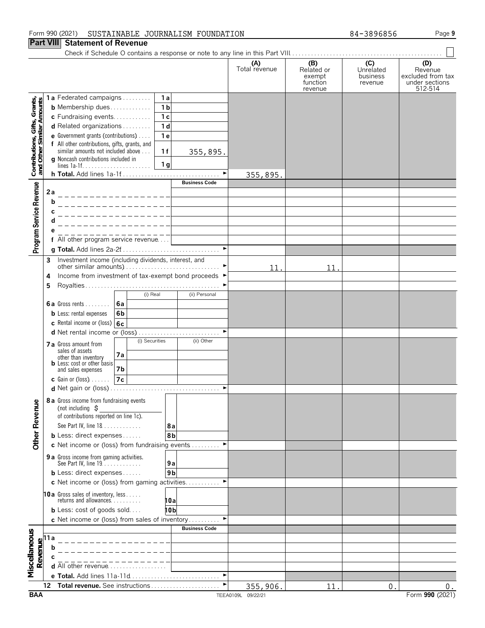#### Form 990 (2021) SUSTAINABLE JOURNALISM FOUNDATION 84-3896856 Page **9**

#### **Part VIII Statement of Revenue**

|                                                            |                                |                                                                                                      |                |                       | (A)<br>Total revenue | (B)<br>Related or<br>exempt<br>function<br>revenue | (C)<br>Unrelated<br>business<br>revenue | (D)<br>Revenue<br>excluded from tax<br>under sections<br>512-514 |
|------------------------------------------------------------|--------------------------------|------------------------------------------------------------------------------------------------------|----------------|-----------------------|----------------------|----------------------------------------------------|-----------------------------------------|------------------------------------------------------------------|
|                                                            |                                | 1a Federated campaigns                                                                               | 1a             |                       |                      |                                                    |                                         |                                                                  |
| Contributions, Gifts, Grants,<br>and Other Similar Amounts |                                | <b>b</b> Membership dues                                                                             | 1 <sub>b</sub> |                       |                      |                                                    |                                         |                                                                  |
|                                                            |                                | c Fundraising events                                                                                 | 1 <sub>c</sub> |                       |                      |                                                    |                                         |                                                                  |
|                                                            |                                | d Related organizations                                                                              | 1 <sub>d</sub> |                       |                      |                                                    |                                         |                                                                  |
|                                                            |                                | <b>e</b> Government grants (contributions) $\ldots$<br>f All other contributions, gifts, grants, and | 1e             |                       |                      |                                                    |                                         |                                                                  |
|                                                            |                                | similar amounts not included above                                                                   | 1f             | 355,895.              |                      |                                                    |                                         |                                                                  |
|                                                            |                                | g Noncash contributions included in                                                                  | 1 <sub>g</sub> |                       |                      |                                                    |                                         |                                                                  |
|                                                            |                                |                                                                                                      |                | $\blacktriangleright$ | 355,895.             |                                                    |                                         |                                                                  |
|                                                            |                                |                                                                                                      |                | <b>Business Code</b>  |                      |                                                    |                                         |                                                                  |
| Program Service Revenue                                    | 2a                             |                                                                                                      |                |                       |                      |                                                    |                                         |                                                                  |
|                                                            | b                              |                                                                                                      |                |                       |                      |                                                    |                                         |                                                                  |
|                                                            |                                |                                                                                                      |                |                       |                      |                                                    |                                         |                                                                  |
|                                                            |                                |                                                                                                      |                |                       |                      |                                                    |                                         |                                                                  |
|                                                            |                                |                                                                                                      |                |                       |                      |                                                    |                                         |                                                                  |
|                                                            |                                | f All other program service revenue                                                                  |                | $\blacktriangleright$ |                      |                                                    |                                         |                                                                  |
|                                                            |                                |                                                                                                      |                |                       |                      |                                                    |                                         |                                                                  |
|                                                            | 3                              | Investment income (including dividends, interest, and                                                |                |                       | 11.                  | 11.                                                |                                         |                                                                  |
|                                                            | 4                              | Income from investment of tax-exempt bond proceeds ▶                                                 |                |                       |                      |                                                    |                                         |                                                                  |
|                                                            | 5                              |                                                                                                      |                |                       |                      |                                                    |                                         |                                                                  |
|                                                            |                                | (i) Real                                                                                             |                | (ii) Personal         |                      |                                                    |                                         |                                                                  |
|                                                            |                                | 6a Gross rents $\vert$ 6a                                                                            |                |                       |                      |                                                    |                                         |                                                                  |
|                                                            |                                | <b>b</b> Less: rental expenses<br>6 <sub>b</sub>                                                     |                |                       |                      |                                                    |                                         |                                                                  |
|                                                            |                                | <b>c</b> Rental income or (loss) $6c$                                                                |                | $\blacktriangleright$ |                      |                                                    |                                         |                                                                  |
|                                                            |                                | (i) Securities                                                                                       |                | (ii) Other            |                      |                                                    |                                         |                                                                  |
|                                                            |                                | 7 a Gross amount from<br>sales of assets                                                             |                |                       |                      |                                                    |                                         |                                                                  |
|                                                            |                                | 7а<br>other than inventory<br><b>b</b> Less: cost or other basis                                     |                |                       |                      |                                                    |                                         |                                                                  |
|                                                            |                                | and sales expenses<br>7b                                                                             |                |                       |                      |                                                    |                                         |                                                                  |
|                                                            |                                | 7c <br><b>c</b> Gain or (loss) $\ldots$                                                              |                |                       |                      |                                                    |                                         |                                                                  |
|                                                            |                                |                                                                                                      |                |                       |                      |                                                    |                                         |                                                                  |
| ٥                                                          |                                | 8 a Gross income from fundraising events                                                             |                |                       |                      |                                                    |                                         |                                                                  |
|                                                            |                                | (not including $\sharp$<br>of contributions reported on line 1c).                                    |                |                       |                      |                                                    |                                         |                                                                  |
|                                                            |                                | See Part IV, line 18                                                                                 | 8а             |                       |                      |                                                    |                                         |                                                                  |
| Other Revenu                                               |                                | <b>b</b> Less: direct expenses                                                                       | 8b             |                       |                      |                                                    |                                         |                                                                  |
|                                                            |                                | c Net income or (loss) from fundraising events                                                       |                |                       |                      |                                                    |                                         |                                                                  |
|                                                            |                                | 9 a Gross income from gaming activities.                                                             |                |                       |                      |                                                    |                                         |                                                                  |
|                                                            |                                | See Part IV, line 19.                                                                                | 9а             |                       |                      |                                                    |                                         |                                                                  |
|                                                            |                                | <b>b</b> Less: direct expenses                                                                       | 9 <sub>b</sub> |                       |                      |                                                    |                                         |                                                                  |
|                                                            |                                | c Net income or (loss) from gaming activities                                                        |                | ►                     |                      |                                                    |                                         |                                                                  |
|                                                            |                                | <b>10a</b> Gross sales of inventory, less<br>returns and allowances.                                 | 10al           |                       |                      |                                                    |                                         |                                                                  |
|                                                            |                                | <b>b</b> Less: cost of goods sold                                                                    | 10b            |                       |                      |                                                    |                                         |                                                                  |
|                                                            |                                | c Net income or (loss) from sales of inventory                                                       |                |                       |                      |                                                    |                                         |                                                                  |
|                                                            |                                |                                                                                                      |                | <b>Business Code</b>  |                      |                                                    |                                         |                                                                  |
|                                                            | Revenue<br>$\alpha$ o $\alpha$ |                                                                                                      |                |                       |                      |                                                    |                                         |                                                                  |
|                                                            |                                |                                                                                                      |                |                       |                      |                                                    |                                         |                                                                  |
|                                                            |                                | d All other revenue                                                                                  |                |                       |                      |                                                    |                                         |                                                                  |
| Miscellaneous                                              |                                |                                                                                                      |                | ٠                     |                      |                                                    |                                         |                                                                  |
|                                                            | 12                             | Total revenue. See instructions                                                                      |                |                       | 355,906.             | 11                                                 | $\Omega$                                | $0$ .                                                            |
|                                                            |                                |                                                                                                      |                |                       |                      |                                                    |                                         |                                                                  |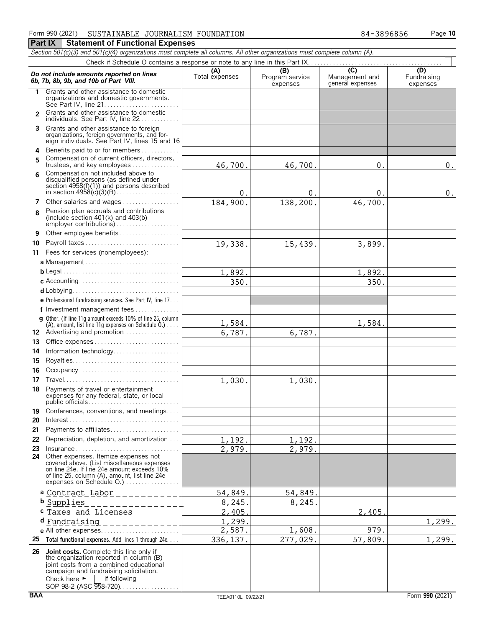#### Form 990 (2021) SUSTAINABLE JOURNALISM FOUNDATION 84-3896856 Page 1**0 Part IX | Statement of Functional Expenses**

#### *Section 501(c)(3) and 501(c)(4) organizations must complete all columns. All other organizations must complete column (A).* Check if Schedule O contains a response or note to any line in this Part IX. . . . . . . . . . . . . . . . . . . . . . . . . . . . . . . . . . . . . . . . . . . **Do not include amounts reported on lines**<br> **C)** (D)<br> **C)** (D)<br> **C)** (D)<br> **C)** (D)<br>
Program service Management and Fundraising<br>
expenses<br>
expenses<br>
expenses<br>
expenses **1** Grants and other assistance to domestic organizations and domestic governments. See Part IV, line 21. . . . . . . . . . . . . . . . . . . . . . . . 2 Grants and other assistance to domestic individuals. See Part IV, line 22. . . . . . . . **3** Grants and other assistance to foreign organizations, foreign governments, and for-eign individuals. See Part IV, lines 15 and 16 **4** Benefits paid to or for members. . . . . . . . . . . . . Compensation of current officers, directors, **<sup>5</sup>** trustees, and key employees. . . . . . . . . . . . . . . . Compensation not included above to **<sup>6</sup>** disqualified persons (as defined under section 4958(f)(1)) and persons described in section 4958(c)(3)(B). . . . . . . . . . . . . . . . . . . . **7** Other salaries and wages................. Pension plan accruals and contributions **<sup>8</sup>** (include section 401(k) and 403(b) employer contributions) . . . . . . . . . . **9** Other employee benefits . . . . . . . . **10** Payroll taxes . . . . . . . . . . . . . . . . . . **11** Fees for services (nonemployees): **a** Management . . . . . . . . . . . . . . . . . . . . . . . . . . . . . . **b** Legal. . . . . . . . . . . . . . . . . . . . . . . . . . . . . . . . . . . . . . **c** Accounting. . . . . . . . . . . . . . . . . . . . . . . . . . . . . . . . **d** Lobbying. . . . . . . . . . . . . . . . . . . . . . . . . . . . . . . . . . **e** Professional fundraising services. See Part IV, line 17. . . **f** Investment management fees. . . . . . . . . . . . . . . **g** Other. (If line 11g amount exceeds 10% of line 25, column  $(A)$ , amount, list line 11g expenses on Schedule  $(0, 1, \ldots, 1)$ 12 Advertising and promotion. . . . . . . . . . . . **13** Office expenses . . . . . . . . . . . . . . . . . . **14** Information technology.............. **15** Royalties. . . . . . . . . . . . . . . . . . . . . . . . . . . . . . . . . . **16** Occupancy . . . . . . . . . . . . **17** Travel. . . . . . . . . . . . . . . . . . . . . . . . . . . . . . . . . . . . . **18** Payments of travel or entertainment expenses for any federal, state, or local public officials. . . . . . . . . . . . . . . . . . . . . . . . . . . . . **19** Conferences, conventions, and meetings.... **20** Interest. . . . . . . . . . . . . . . . . . . . . . . . . . . . . . . . . . . . **21** Payments to affiliates. . . . . . . . . . . . . . . . . . . . . . **22** Depreciation, depletion, and amortization. . . . **23** Insurance . . . . . . . . . . . . . . . . . . . . . . . . . . . . . . . . . **24** Other expenses. Itemize expenses not covered above. (List miscellaneous expenses on line 24e. If line 24e amount exceeds 10% of line 25, column (A), amount, list line 24e<br>expenses on Schedule O.) . . . . . . . . . . . . . . . . **a** Contract Labor **b** Supplies **c** Taxes and Licenses **d** Fundraising**e** All other expenses................... **25 Total functional expenses.** Add lines 1 through 24e. . . . **<sup>26</sup> Joint costs.** Complete this line only if the organization reported in column (B) joint costs from a combined educational campaign and fundraising solicitation.<br>Check here  $\blacktriangleright \Box$  if following  $\Box$  if following 46,700. 46,700. 0. 0.  $0.$  0. 0. 0. 0. 184,900. 138,200. 46,700. 19,338. 15,439. 3,899. 1,892. 1,892. 350. 350. 1,584. 1,584. 6,787. 6,787. 1,030. 1,030. 1,192. 1,192. 2,979. 2,979. 54,849. 54,849. 8,245. 8,245. 2,405. 2,405.  $1,299.$  1,299. 2,587. 1,608. 979. 336,137. 277,029. 57,809. 1,299.

SOP 98-2 (ASC 958-720). . . . . . . . . . . .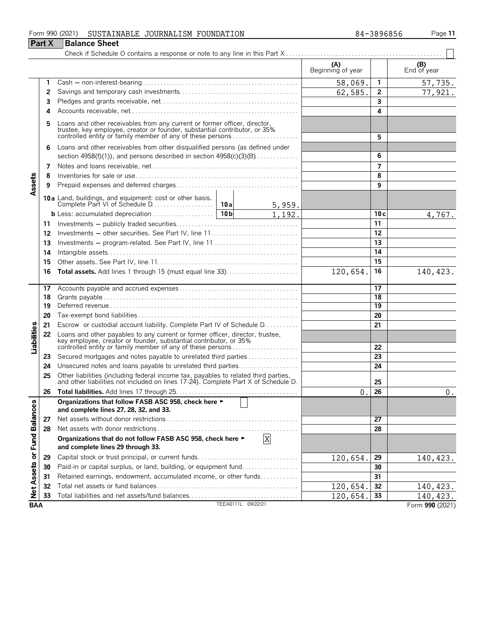#### Form 990 (2021) SUSTAINABLE JOURNALISM FOUNDATION 84-38 96856 Page **11** SUSTAINABLE JOURNALISM FOUNDATION 84-3896856

| -3896856 |  |
|----------|--|
|----------|--|

|                             | <b>Part X</b> | <b>Balance Sheet</b>                                                                                                                                                                                                  |                    |          |                          |              |                    |
|-----------------------------|---------------|-----------------------------------------------------------------------------------------------------------------------------------------------------------------------------------------------------------------------|--------------------|----------|--------------------------|--------------|--------------------|
|                             |               |                                                                                                                                                                                                                       |                    |          |                          |              |                    |
|                             |               |                                                                                                                                                                                                                       |                    |          | (A)<br>Beginning of year |              | (B)<br>End of year |
|                             | 1             |                                                                                                                                                                                                                       |                    |          | 58,069.                  | $\mathbf{1}$ | 57,735.            |
|                             | 2             |                                                                                                                                                                                                                       |                    | 62,585.  | $\mathbf{2}$             | 77,921.      |                    |
|                             | 3             |                                                                                                                                                                                                                       |                    |          | $\overline{\mathbf{3}}$  |              |                    |
|                             | 4             |                                                                                                                                                                                                                       |                    |          |                          | 4            |                    |
|                             | 5             | Loans and other receivables from any current or former officer, director,<br>trustee, key employee, creator or founder, substantial contributor, or 35%<br>controlled entity or family member of any of these persons |                    |          |                          | 5            |                    |
|                             | 6             | Loans and other receivables from other disqualified persons (as defined under<br>section 4958(f)(1)), and persons described in section $4958(c)(3)(B)$                                                                |                    |          |                          | 6            |                    |
|                             | 7             |                                                                                                                                                                                                                       |                    |          |                          | 7            |                    |
|                             | 8             |                                                                                                                                                                                                                       |                    |          |                          | 8            |                    |
| Assets                      | 9             |                                                                                                                                                                                                                       |                    |          |                          | 9            |                    |
|                             |               |                                                                                                                                                                                                                       |                    | 5,959.   |                          |              |                    |
|                             |               |                                                                                                                                                                                                                       |                    | 1,192.   |                          | 10c          | 4,767.             |
|                             | 11            |                                                                                                                                                                                                                       |                    |          |                          | 11           |                    |
|                             | 12            |                                                                                                                                                                                                                       |                    |          |                          | 12           |                    |
|                             | 13            | Investments – program-related. See Part IV, line 11                                                                                                                                                                   |                    |          |                          | 13           |                    |
|                             | 14            |                                                                                                                                                                                                                       |                    |          |                          | 14           |                    |
|                             | 15            |                                                                                                                                                                                                                       |                    |          |                          | 15           |                    |
|                             | 16            |                                                                                                                                                                                                                       |                    |          | 120,654.                 | 16           | 140,423.           |
|                             | 17            |                                                                                                                                                                                                                       |                    |          |                          | 17           |                    |
|                             | 18            |                                                                                                                                                                                                                       |                    |          |                          | 18           |                    |
|                             | 19            |                                                                                                                                                                                                                       |                    |          |                          | 19           |                    |
|                             | 20            |                                                                                                                                                                                                                       |                    |          |                          | 20           |                    |
|                             | 21            | Escrow or custodial account liability. Complete Part IV of Schedule D.                                                                                                                                                |                    |          |                          | 21           |                    |
| Liabilities                 | 22            | Loans and other payables to any current or former officer, director, trustee,<br>key employee, creator or founder, substantial contributor, or 35%<br>controlled entity or family member of any of these persons      |                    |          |                          | 22           |                    |
|                             | 23            | Secured mortgages and notes payable to unrelated third parties                                                                                                                                                        |                    |          |                          | 23           |                    |
|                             | 24            | Unsecured notes and loans payable to unrelated third parties                                                                                                                                                          |                    |          |                          | 24           |                    |
|                             | 25            | Other liabilities (including federal income tax, payables to related third parties, and other liabilities not included on lines 17-24). Complete Part X of Schedule D.                                                |                    |          |                          | 25           |                    |
|                             | 26            |                                                                                                                                                                                                                       |                    |          | $\theta$ .               | 26           | $0$ .              |
|                             |               | Organizations that follow FASB ASC 958, check here ►<br>and complete lines 27, 28, 32, and 33.                                                                                                                        |                    |          |                          |              |                    |
|                             | 27            |                                                                                                                                                                                                                       |                    |          |                          | 27           |                    |
|                             | 28            |                                                                                                                                                                                                                       |                    |          |                          | 28           |                    |
| Net Assets or Fund Balances |               | Organizations that do not follow FASB ASC 958, check here ►<br>and complete lines 29 through 33.                                                                                                                      |                    | X        |                          |              |                    |
|                             | 29            |                                                                                                                                                                                                                       |                    | 120,654. | 29                       | 140, 423.    |                    |
|                             | 30            | Paid-in or capital surplus, or land, building, or equipment fund                                                                                                                                                      |                    |          |                          | 30           |                    |
|                             | 31            | Retained earnings, endowment, accumulated income, or other funds                                                                                                                                                      |                    |          |                          | 31           |                    |
|                             | 32            |                                                                                                                                                                                                                       |                    |          | 120,654.                 | 32           | 140, 423.          |
|                             | 33            |                                                                                                                                                                                                                       |                    |          | 120,654.                 | 33           | 140,423.           |
| <b>BAA</b>                  |               |                                                                                                                                                                                                                       | TEEA0111L 09/22/21 |          |                          |              | Form 990 (2021)    |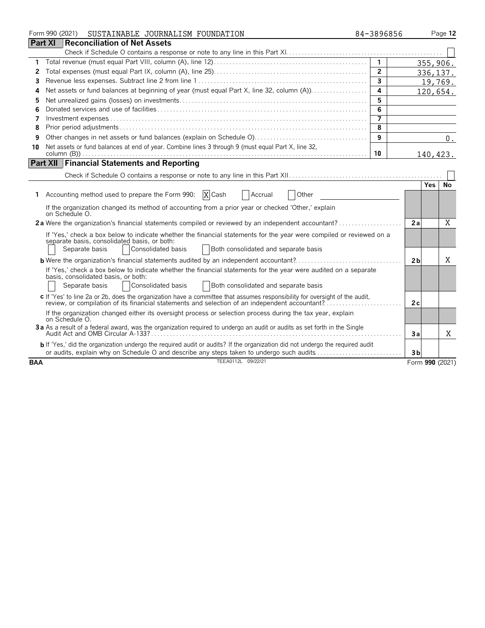|            | Form 990 (2021)<br>SUSTAINABLE JOURNALISM FOUNDATION                                                                                                                                                                                    | 84-3896856     |                | Page 12         |
|------------|-----------------------------------------------------------------------------------------------------------------------------------------------------------------------------------------------------------------------------------------|----------------|----------------|-----------------|
|            | <b>Part XI</b><br><b>Reconciliation of Net Assets</b>                                                                                                                                                                                   |                |                |                 |
|            |                                                                                                                                                                                                                                         |                |                |                 |
| 1          |                                                                                                                                                                                                                                         | $\overline{1}$ |                | 355,906.        |
| 2          |                                                                                                                                                                                                                                         | $\overline{2}$ |                | 336, 137.       |
| 3          |                                                                                                                                                                                                                                         | $\overline{3}$ |                | 19,769.         |
| 4          | Net assets or fund balances at beginning of year (must equal Part X, line 32, column (A))                                                                                                                                               | 4              |                | 120,654.        |
| 5          |                                                                                                                                                                                                                                         | 5              |                |                 |
| 6          |                                                                                                                                                                                                                                         | 6              |                |                 |
| 7          |                                                                                                                                                                                                                                         | $\overline{7}$ |                |                 |
| 8          |                                                                                                                                                                                                                                         | 8              |                |                 |
| 9          |                                                                                                                                                                                                                                         | 9              |                | $0$ .           |
| 10         | Net assets or fund balances at end of year. Combine lines 3 through 9 (must equal Part X, line 32,                                                                                                                                      |                |                |                 |
|            |                                                                                                                                                                                                                                         | 10             |                | 140,423.        |
|            | <b>Part XII Financial Statements and Reporting</b>                                                                                                                                                                                      |                |                |                 |
|            |                                                                                                                                                                                                                                         |                |                |                 |
|            |                                                                                                                                                                                                                                         |                |                | Yes.<br>No      |
|            | 1 Accounting method used to prepare the Form 990: $X$ Cash<br><b>Accrual</b><br>Other                                                                                                                                                   |                |                |                 |
|            | If the organization changed its method of accounting from a prior year or checked 'Other,' explain<br>on Schedule O.                                                                                                                    |                |                |                 |
|            | 2a Were the organization's financial statements compiled or reviewed by an independent accountant?                                                                                                                                      |                | 2a             | X               |
|            | If 'Yes,' check a box below to indicate whether the financial statements for the year were compiled or reviewed on a<br>separate basis, consolidated basis, or both:                                                                    |                |                |                 |
|            | Consolidated basis<br>Separate basis<br>Both consolidated and separate basis                                                                                                                                                            |                |                |                 |
|            | <b>b</b> Were the organization's financial statements audited by an independent accountant?                                                                                                                                             |                | 2 <sub>b</sub> | X               |
|            | If 'Yes,' check a box below to indicate whether the financial statements for the year were audited on a separate<br>basis, consolidated basis, or both:<br>Consolidated basis<br>Both consolidated and separate basis<br>Separate basis |                |                |                 |
|            | c If 'Yes' to line 2a or 2b, does the organization have a committee that assumes responsibility for oversight of the audit,<br>review, or compilation of its financial statements and selection of an independent accountant?           |                | 2c             |                 |
|            | If the organization changed either its oversight process or selection process during the tax year, explain<br>on Schedule O.                                                                                                            |                |                |                 |
|            | 3a As a result of a federal award, was the organization required to undergo an audit or audits as set forth in the Single                                                                                                               |                | 3a             | X               |
|            | b If 'Yes,' did the organization undergo the required audit or audits? If the organization did not undergo the required audit<br>or audits, explain why on Schedule O and describe any steps taken to undergo such audits               |                | 3 <sub>b</sub> |                 |
| <b>BAA</b> | TEEA0112L 09/22/21                                                                                                                                                                                                                      |                |                | Form 990 (2021) |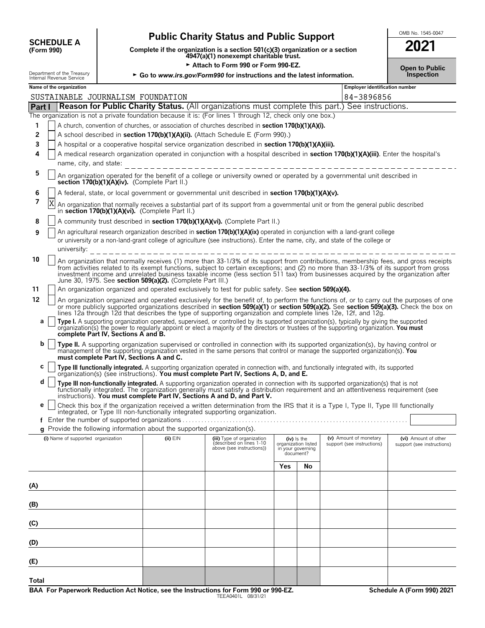| <b>SCHEDULE A</b> |  |
|-------------------|--|
| (Form 990)        |  |

**Total**

# **Public Charity Status and Public Support SUPPORT**

**COMPOUT A**<br>
(Form 990) **Complete if the organization is a section 501(c)(3) organization or a section**<br>
4947(a)(1) nonexempt charitable trust.

| 2021                  |  |
|-----------------------|--|
| <b>Open to Public</b> |  |

|                                    |                                                        |                                               | Attach to Form 990 or Form 990-EZ.                                                            |                                                                                                                                                                                                                                                                                                                                                                                                                    |     |                                                                      |                            |            | <b>Open to Public</b>          |
|------------------------------------|--------------------------------------------------------|-----------------------------------------------|-----------------------------------------------------------------------------------------------|--------------------------------------------------------------------------------------------------------------------------------------------------------------------------------------------------------------------------------------------------------------------------------------------------------------------------------------------------------------------------------------------------------------------|-----|----------------------------------------------------------------------|----------------------------|------------|--------------------------------|
|                                    | Department of the Treasury<br>Internal Revenue Service |                                               | ► Go to www.irs.gov/Form990 for instructions and the latest information.                      |                                                                                                                                                                                                                                                                                                                                                                                                                    |     |                                                                      |                            | Inspection |                                |
|                                    | Name of the organization                               |                                               |                                                                                               |                                                                                                                                                                                                                                                                                                                                                                                                                    |     |                                                                      |                            |            | Employer identification number |
|                                    | SUSTAINABLE JOURNALISM FOUNDATION                      |                                               |                                                                                               |                                                                                                                                                                                                                                                                                                                                                                                                                    |     |                                                                      | 84-3896856                 |            |                                |
| <b>Part I</b>                      |                                                        |                                               |                                                                                               | <b>Reason for Public Charity Status.</b> (All organizations must complete this part.) See instructions.                                                                                                                                                                                                                                                                                                            |     |                                                                      |                            |            |                                |
|                                    |                                                        |                                               |                                                                                               | The organization is not a private foundation because it is: (For lines 1 through 12, check only one box.)                                                                                                                                                                                                                                                                                                          |     |                                                                      |                            |            |                                |
| 1                                  |                                                        |                                               |                                                                                               | A church, convention of churches, or association of churches described in section 170(b)(1)(A)(i).                                                                                                                                                                                                                                                                                                                 |     |                                                                      |                            |            |                                |
| 2<br>3                             |                                                        |                                               |                                                                                               | A school described in section 170(b)(1)(A)(ii). (Attach Schedule E (Form 990).)<br>A hospital or a cooperative hospital service organization described in section 170(b)(1)(A)(iii).                                                                                                                                                                                                                               |     |                                                                      |                            |            |                                |
| 4                                  |                                                        |                                               |                                                                                               | A medical research organization operated in conjunction with a hospital described in section 170(b)(1)(A)(iii). Enter the hospital's                                                                                                                                                                                                                                                                               |     |                                                                      |                            |            |                                |
|                                    | name, city, and state:                                 |                                               |                                                                                               | ------------------------------                                                                                                                                                                                                                                                                                                                                                                                     |     |                                                                      |                            |            |                                |
| 5                                  |                                                        | section 170(b)(1)(A)(iv). (Complete Part II.) |                                                                                               | An organization operated for the benefit of a college or university owned or operated by a governmental unit described in                                                                                                                                                                                                                                                                                          |     |                                                                      |                            |            |                                |
| 6                                  |                                                        |                                               |                                                                                               | A federal, state, or local government or governmental unit described in section 170(b)(1)(A)(v).                                                                                                                                                                                                                                                                                                                   |     |                                                                      |                            |            |                                |
| 7                                  | Χ                                                      |                                               | in section 170(b)(1)(A)(vi). (Complete Part II.)                                              | An organization that normally receives a substantial part of its support from a governmental unit or from the general public described                                                                                                                                                                                                                                                                             |     |                                                                      |                            |            |                                |
| 8                                  |                                                        |                                               |                                                                                               | A community trust described in section 170(b)(1)(A)(vi). (Complete Part II.)                                                                                                                                                                                                                                                                                                                                       |     |                                                                      |                            |            |                                |
| 9                                  | university:                                            |                                               |                                                                                               | An agricultural research organization described in section 170(b)(1)(A)(ix) operated in conjunction with a land-grant college<br>or university or a non-land-grant college of agriculture (see instructions). Enter the name, city, and state of the college or<br>________________________________                                                                                                                |     |                                                                      |                            |            |                                |
| 10                                 |                                                        |                                               | June 30, 1975. See section 509(a)(2). (Complete Part III.)                                    | An organization that normally receives (1) more than 33-1/3% of its support from contributions, membership fees, and gross receipts<br>from activities related to its exempt functions, subject to certain exceptions; and (2) no more than 33-1/3% of its support from gross<br>investment income and unrelated business taxable income (less section 511 tax) from businesses acquired by the organization after |     |                                                                      |                            |            |                                |
| 11                                 |                                                        |                                               |                                                                                               | An organization organized and operated exclusively to test for public safety. See section 509(a)(4).                                                                                                                                                                                                                                                                                                               |     |                                                                      |                            |            |                                |
| 12                                 |                                                        |                                               |                                                                                               | An organization organized and operated exclusively for the benefit of, to perform the functions of, or to carry out the purposes of one<br>or more publicly supported organizations described in section 509(a)(1) or section 509(a)(2). See section 509(a)(3). Check the box on<br>lines 12a through 12d that describes the type of supporting organization and complete lines 12e, 12f, and 12g.                 |     |                                                                      |                            |            |                                |
| а                                  |                                                        | complete Part IV, Sections A and B.           |                                                                                               | Type I. A supporting organization operated, supervised, or controlled by its supported organization(s), typically by giving the supported organization(s) the power to regularly appoint or elect a majority of the directors                                                                                                                                                                                      |     |                                                                      |                            |            |                                |
| b                                  |                                                        | must complete Part IV, Sections A and C.      |                                                                                               | Type II. A supporting organization supervised or controlled in connection with its supported organization(s), by having control or<br>management of the supporting organization vested in the same persons that control or manage the supported organization(s). You                                                                                                                                               |     |                                                                      |                            |            |                                |
| с                                  |                                                        |                                               |                                                                                               | Type III functionally integrated. A supporting organization operated in connection with, and functionally integrated with, its supported organization(s) (see instructions). You must complete Part IV, Sections A, D, and E.                                                                                                                                                                                      |     |                                                                      |                            |            |                                |
| d                                  |                                                        |                                               |                                                                                               | Type III non-functionally integrated. A supporting organization operated in connection with its supported organization(s) that is not<br>functionally integrated. The organization generally must satisfy a distribution requirement and an attentiveness requirement (see<br>instructions). You must complete Part IV, Sections A and D, and Part V.                                                              |     |                                                                      |                            |            |                                |
| е                                  |                                                        |                                               |                                                                                               | Check this box if the organization received a written determination from the IRS that it is a Type I, Type II, Type III functionally<br>integrated, or Type III non-functionally integrated supporting organization.                                                                                                                                                                                               |     |                                                                      |                            |            |                                |
| t                                  |                                                        |                                               |                                                                                               |                                                                                                                                                                                                                                                                                                                                                                                                                    |     |                                                                      |                            |            |                                |
|                                    |                                                        |                                               | <b>q</b> Provide the following information about the supported organization(s).<br>$(ii)$ EIN | (iii) Type of organization                                                                                                                                                                                                                                                                                                                                                                                         |     |                                                                      | (v) Amount of monetary     |            | (vi) Amount of other           |
| (i) Name of supported organization |                                                        |                                               |                                                                                               | (described on lines 1-10<br>above (see instructions))                                                                                                                                                                                                                                                                                                                                                              |     | (iv) Is the<br>organization listed<br>in your governing<br>document? | support (see instructions) |            | support (see instructions)     |
|                                    |                                                        |                                               |                                                                                               |                                                                                                                                                                                                                                                                                                                                                                                                                    | Yes | <b>No</b>                                                            |                            |            |                                |
| (A)                                |                                                        |                                               |                                                                                               |                                                                                                                                                                                                                                                                                                                                                                                                                    |     |                                                                      |                            |            |                                |
| (B)                                |                                                        |                                               |                                                                                               |                                                                                                                                                                                                                                                                                                                                                                                                                    |     |                                                                      |                            |            |                                |
| (C)                                |                                                        |                                               |                                                                                               |                                                                                                                                                                                                                                                                                                                                                                                                                    |     |                                                                      |                            |            |                                |
| (D)                                |                                                        |                                               |                                                                                               |                                                                                                                                                                                                                                                                                                                                                                                                                    |     |                                                                      |                            |            |                                |
| (E)                                |                                                        |                                               |                                                                                               |                                                                                                                                                                                                                                                                                                                                                                                                                    |     |                                                                      |                            |            |                                |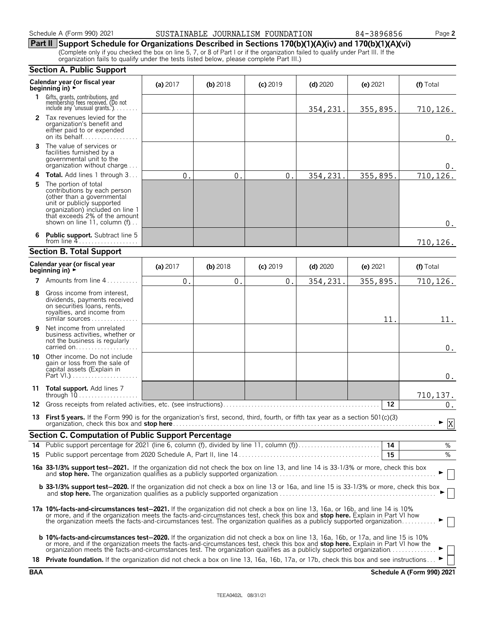### Schedule A (Form 990) 2021 **2012 SUSTAINABLE JOURNALISM FOUNDATION** 84-3896856 Page 2

## **Part II Support Schedule for Organizations Described in Sections 170(b)(1)(A)(iv) and 170(b)(1)(A)(vi)**

(Complete only if you checked the box on line 5, 7, or 8 of Part I or if the organization failed to qualify under Part III. If the organization fails to qualify under the tests listed below, please complete Part III.)

|    | <b>Section A. Public Support</b>                                                                                                                                                                                                                                                                                                                                                                      |            |            |               |            |            |                    |  |  |
|----|-------------------------------------------------------------------------------------------------------------------------------------------------------------------------------------------------------------------------------------------------------------------------------------------------------------------------------------------------------------------------------------------------------|------------|------------|---------------|------------|------------|--------------------|--|--|
|    | Calendar year (or fiscal year<br>beainning in) ►                                                                                                                                                                                                                                                                                                                                                      | (a) 2017   | $(b)$ 2018 | $(c)$ 2019    | $(d)$ 2020 | $(e)$ 2021 | (f) Total          |  |  |
| 1. | Gifts, grants, contributions, and<br>membership fees received. (Do not<br>include any 'unusual grants.'). $\ldots$                                                                                                                                                                                                                                                                                    |            |            |               | 354,231.   | 355,895.   | 710,126.           |  |  |
|    | 2 Tax revenues levied for the<br>organization's benefit and<br>either paid to or expended<br>on its behalf                                                                                                                                                                                                                                                                                            |            |            |               |            |            | $0$ .              |  |  |
| 3  | The value of services or<br>facilities furnished by a<br>governmental unit to the<br>organization without charge                                                                                                                                                                                                                                                                                      |            |            |               |            |            | 0.                 |  |  |
| 4  | <b>Total.</b> Add lines 1 through 3                                                                                                                                                                                                                                                                                                                                                                   | $0$ .      | $0$ .      | $\mathbf 0$ . | 354,231    | 355,895.   | 710,126.           |  |  |
| 5  | The portion of total<br>contributions by each person<br>(other than a governmental<br>unit or publicly supported<br>organization) included on line 1<br>that exceeds 2% of the amount<br>shown on line 11, column (f)                                                                                                                                                                                 |            |            |               |            |            | $0$ .              |  |  |
|    | <b>Public support.</b> Subtract line 5<br>from line $4$                                                                                                                                                                                                                                                                                                                                               |            |            |               |            |            | 710,126.           |  |  |
|    | <b>Section B. Total Support</b>                                                                                                                                                                                                                                                                                                                                                                       |            |            |               |            |            |                    |  |  |
|    | Calendar year (or fiscal year<br>beginning in) $\rightarrow$                                                                                                                                                                                                                                                                                                                                          | (a) $2017$ | $(b)$ 2018 | $(c)$ 2019    | $(d)$ 2020 | (e) $2021$ | (f) Total          |  |  |
| 7  | Amounts from line 4<br>1.1.1.1.1.1.1                                                                                                                                                                                                                                                                                                                                                                  | 0.         | $0$ .      | $\mathbf 0$ . | 354,231.   | 355,895.   | 710,126.           |  |  |
| 8  | Gross income from interest,<br>dividends, payments received<br>on securities loans, rents,<br>royalties, and income from<br>similar sources                                                                                                                                                                                                                                                           |            |            |               |            | 11.        | 11.                |  |  |
| 9  | Net income from unrelated<br>business activities, whether or<br>not the business is regularly<br>carried on                                                                                                                                                                                                                                                                                           |            |            |               |            |            | 0.                 |  |  |
|    | <b>10</b> Other income. Do not include<br>gain or loss from the sale of<br>capital assets (Explain in                                                                                                                                                                                                                                                                                                 |            |            |               |            |            | $0$ .              |  |  |
| 11 | Total support. Add lines 7<br>through $10$                                                                                                                                                                                                                                                                                                                                                            |            |            |               |            |            | 710,137.           |  |  |
|    | 12 Gross receipts from related activities, etc. (see instructions)                                                                                                                                                                                                                                                                                                                                    |            |            |               |            | 12         | $\boldsymbol{0}$ . |  |  |
|    | 13 First 5 years. If the Form 990 is for the organization's first, second, third, fourth, or fifth tax year as a section 501(c)(3)                                                                                                                                                                                                                                                                    |            |            |               |            |            | - ⊽<br>A           |  |  |
|    | Section C. Computation of Public Support Percentage                                                                                                                                                                                                                                                                                                                                                   |            |            |               |            |            |                    |  |  |
|    |                                                                                                                                                                                                                                                                                                                                                                                                       |            |            |               |            |            | %                  |  |  |
|    |                                                                                                                                                                                                                                                                                                                                                                                                       |            |            |               |            | 15         | %                  |  |  |
|    | 16a 33-1/3% support test-2021. If the organization did not check the box on line 13, and line 14 is 33-1/3% or more, check this box                                                                                                                                                                                                                                                                   |            |            |               |            |            |                    |  |  |
|    | <b>b 33-1/3% support test-2020.</b> If the organization did not check a box on line 13 or 16a, and line 15 is 33-1/3% or more, check this box                                                                                                                                                                                                                                                         |            |            |               |            |            |                    |  |  |
|    | 17a 10%-facts-and-circumstances test-2021. If the organization did not check a box on line 13, 16a, or 16b, and line 14 is 10%<br>or more, and if the organization meets the facts-and-circumstances test, check this box and stop here. Explain in Part VI how<br>the organization meets the facts-and-circumstances test. The organization qualifies as a publicly supported organization           |            |            |               |            |            |                    |  |  |
|    | <b>b 10%-facts-and-circumstances test-2020.</b> If the organization did not check a box on line 13, 16a, 16b, or 17a, and line 15 is 10%<br>or more, and if the organization meets the facts-and-circumstances test, check this box and stop here. Explain in Part VI how the<br>organization meets the facts-and-circumstances test. The organization qualifies as a publicly supported organization |            |            |               |            |            |                    |  |  |
|    | 18 Private foundation. If the organization did not check a box on line 13, 16a, 16b, 17a, or 17b, check this box and see instructions                                                                                                                                                                                                                                                                 |            |            |               |            |            |                    |  |  |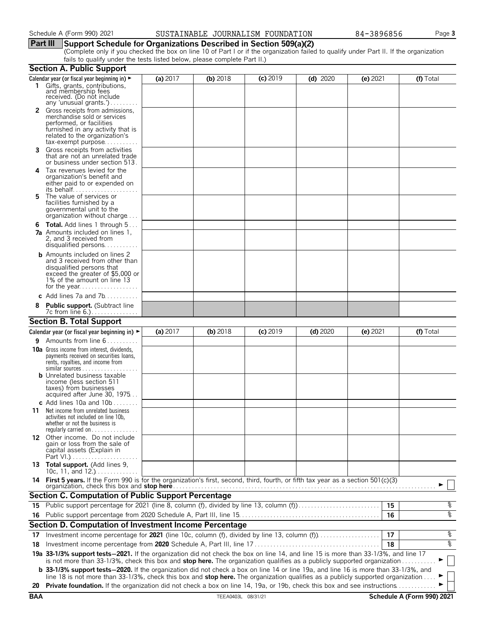### Schedule A (Form 990) 2021 SUSTAINABLE JOURNALISM FOUNDATION 84-3896856 Page **3**

### **Part III Support Schedule for Organizations Described in Section 509(a)(2)**

(Complete only if you checked the box on line 10 of Part I or if the organization failed to qualify under Part II. If the organization fails to qualify under the tests listed below, please complete Part II.)

|            | <b>Section A. Public Support</b>                                                                                                                                                                                                                                      |          |                    |            |            |            |                            |
|------------|-----------------------------------------------------------------------------------------------------------------------------------------------------------------------------------------------------------------------------------------------------------------------|----------|--------------------|------------|------------|------------|----------------------------|
|            | Calendar year (or fiscal year beginning in) $\blacktriangleright$                                                                                                                                                                                                     | (a) 2017 | (b) 2018           | $(c)$ 2019 | $(d)$ 2020 | (e) 2021   | (f) Total                  |
|            | 1 Gifts, grants, contributions,<br>and membership fees<br>received. (Do not include<br>any 'unusual grants.')                                                                                                                                                         |          |                    |            |            |            |                            |
|            | 2 Gross receipts from admissions,<br>merchandise sold or services<br>performed, or facilities<br>furnished in any activity that is<br>related to the organization's<br>$tax\text{-}exempt$ purpose                                                                    |          |                    |            |            |            |                            |
| 3.         | Gross receipts from activities<br>that are not an unrelated trade<br>or business under section 513.                                                                                                                                                                   |          |                    |            |            |            |                            |
| 4          | Tax revenues levied for the<br>organization's benefit and<br>either paid to or expended on                                                                                                                                                                            |          |                    |            |            |            |                            |
| 5.         | The value of services or<br>facilities furnished by a<br>governmental unit to the<br>organization without charge                                                                                                                                                      |          |                    |            |            |            |                            |
| 6          | <b>Total.</b> Add lines 1 through 5<br><b>7a</b> Amounts included on lines 1,<br>2, and 3 received from<br>disqualified persons                                                                                                                                       |          |                    |            |            |            |                            |
|            | <b>b</b> Amounts included on lines 2<br>and 3 received from other than<br>disqualified persons that<br>exceed the greater of \$5,000 or<br>1% of the amount on line 13                                                                                                |          |                    |            |            |            |                            |
|            | c Add lines $7a$ and $7b$                                                                                                                                                                                                                                             |          |                    |            |            |            |                            |
|            | <b>Public support.</b> (Subtract line                                                                                                                                                                                                                                 |          |                    |            |            |            |                            |
|            | <b>Section B. Total Support</b>                                                                                                                                                                                                                                       |          |                    |            |            |            |                            |
|            | Calendar year (or fiscal year beginning in) $\blacktriangleright$                                                                                                                                                                                                     | (a) 2017 | (b) 2018           | $(c)$ 2019 | $(d)$ 2020 | $(e)$ 2021 | (f) Total                  |
| 9.         | Amounts from line 6                                                                                                                                                                                                                                                   |          |                    |            |            |            |                            |
|            | <b>10a</b> Gross income from interest, dividends,<br>payments received on securities loans,<br>rents, royalties, and income from<br><b>b</b> Unrelated business taxable<br>income (less section 511<br>taxes) from businesses                                         |          |                    |            |            |            |                            |
|            | acquired after June 30, 1975                                                                                                                                                                                                                                          |          |                    |            |            |            |                            |
|            | c Add lines 10a and $10b$                                                                                                                                                                                                                                             |          |                    |            |            |            |                            |
| 11         | Net income from unrelated business<br>activities not included on line 10b,<br>whether or not the business is<br>regularly carried on $\dots\dots\dots\dots$                                                                                                           |          |                    |            |            |            |                            |
|            | 12 Other income. Do not include<br>gain or loss from the sale of<br>capital assets (Explain in                                                                                                                                                                        |          |                    |            |            |            |                            |
|            | 13 Total support. (Add lines 9,<br>10c, 11, and $12$                                                                                                                                                                                                                  |          |                    |            |            |            |                            |
|            | 14 First 5 years. If the Form 990 is for the organization's first, second, third, fourth, or fifth tax year as a section 501(c)(3)<br>organization, check this box and stop here                                                                                      |          |                    |            |            |            |                            |
|            | <b>Section C. Computation of Public Support Percentage</b>                                                                                                                                                                                                            |          |                    |            |            |            |                            |
|            | 15 Public support percentage for 2021 (line 8, column (f), divided by line 13, column (f)                                                                                                                                                                             |          |                    |            |            | 15         | န့                         |
|            |                                                                                                                                                                                                                                                                       |          |                    |            |            | 16         | ०१०                        |
|            | Section D. Computation of Investment Income Percentage                                                                                                                                                                                                                |          |                    |            |            |            |                            |
| 17         |                                                                                                                                                                                                                                                                       |          |                    |            |            | 17         | %                          |
| 18         |                                                                                                                                                                                                                                                                       |          |                    |            |            | 18         | ०७                         |
|            | 19a 33-1/3% support tests-2021. If the organization did not check the box on line 14, and line 15 is more than 33-1/3%, and line 17                                                                                                                                   |          |                    |            |            |            |                            |
|            | is not more than 33-1/3%, check this box and stop here. The organization qualifies as a publicly supported organization<br><b>b</b> 33-1/3% support tests-2020. If the organization did not check a box on line 14 or line 19a, and line 16 is more than 33-1/3%, and |          |                    |            |            |            |                            |
|            | line 18 is not more than 33-1/3%, check this box and stop here. The organization qualifies as a publicly supported organization                                                                                                                                       |          |                    |            |            |            |                            |
| 20         | Private foundation. If the organization did not check a box on line 14, 19a, or 19b, check this box and see instructions.                                                                                                                                             |          |                    |            |            |            |                            |
| <b>BAA</b> |                                                                                                                                                                                                                                                                       |          | TEEA0403L 08/31/21 |            |            |            | Schedule A (Form 990) 2021 |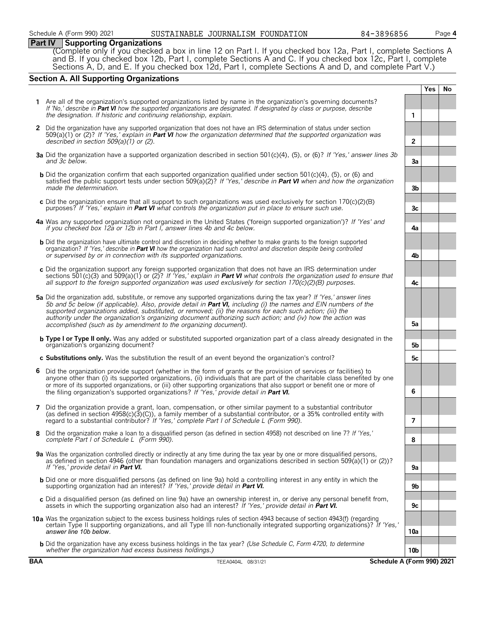#### **Part IV Supporting Organizations**

(Complete only if you checked a box in line 12 on Part I. If you checked box 12a, Part I, complete Sections A and B. If you checked box 12b, Part I, complete Sections A and C. If you checked box 12c, Part I, complete Sections A, D, and E. If you checked box 12d, Part I, complete Sections A and D, and complete Part V.)

### **Section A. All Supporting Organizations**

| <b>BAA</b> | Schedule A (Form 990) 2021<br>TEEA0404L 08/31/21                                                                                                                                                                                                                                                                                                                                                                                                                                                                                             |                |            |    |
|------------|----------------------------------------------------------------------------------------------------------------------------------------------------------------------------------------------------------------------------------------------------------------------------------------------------------------------------------------------------------------------------------------------------------------------------------------------------------------------------------------------------------------------------------------------|----------------|------------|----|
|            | <b>b</b> Did the organization have any excess business holdings in the tax year? (Use Schedule C, Form 4720, to determine<br>whether the organization had excess business holdings.)                                                                                                                                                                                                                                                                                                                                                         | 10b            |            |    |
|            | 10a Was the organization subject to the excess business holdings rules of section 4943 because of section 4943(f) (regarding<br>certain Type II supporting organizations, and all Type III non-functionally integrated supporting organizations)? If 'Yes,'<br>answer line 10b below.                                                                                                                                                                                                                                                        | 10a            |            |    |
|            | c Did a disqualified person (as defined on line 9a) have an ownership interest in, or derive any personal benefit from,<br>assets in which the supporting organization also had an interest? If 'Yes,' provide detail in <b>Part VI.</b>                                                                                                                                                                                                                                                                                                     | 9c             |            |    |
|            | <b>b</b> Did one or more disqualified persons (as defined on line 9a) hold a controlling interest in any entity in which the<br>supporting organization had an interest? If 'Yes,' provide detail in Part VI.                                                                                                                                                                                                                                                                                                                                | 9b             |            |    |
|            | 9a Was the organization controlled directly or indirectly at any time during the tax year by one or more disqualified persons,<br>as defined in section 4946 (other than foundation managers and organizations described in section 509(a)(1) or (2))?<br>If 'Yes,' provide detail in Part VI.                                                                                                                                                                                                                                               | 9а             |            |    |
| 8          | Did the organization make a loan to a disqualified person (as defined in section 4958) not described on line 7? If 'Yes,'<br>complete Part I of Schedule L (Form 990).                                                                                                                                                                                                                                                                                                                                                                       | 8              |            |    |
| 7          | Did the organization provide a grant, loan, compensation, or other similar payment to a substantial contributor<br>(as defined in section $4958(c)(3)(C)$ ), a family member of a substantial contributor, or a 35% controlled entity with<br>regard to a substantial contributor? If 'Yes,' complete Part I of Schedule L (Form 990).                                                                                                                                                                                                       | $\overline{7}$ |            |    |
| 6          | Did the organization provide support (whether in the form of grants or the provision of services or facilities) to<br>anyone other than (i) its supported organizations, (ii) individuals that are part of the charitable class benefited by one<br>or more of its supported organizations, or (iii) other supporting organizations that also support or benefit one or more of<br>the filing organization's supported organizations? If 'Yes,' provide detail in Part VI.                                                                   | 6              |            |    |
|            | c Substitutions only. Was the substitution the result of an event beyond the organization's control?                                                                                                                                                                                                                                                                                                                                                                                                                                         | 5c             |            |    |
|            | <b>b Type I or Type II only.</b> Was any added or substituted supported organization part of a class already designated in the<br>organization's organizing document?                                                                                                                                                                                                                                                                                                                                                                        | 5b             |            |    |
|            | 5a Did the organization add, substitute, or remove any supported organizations during the tax year? If 'Yes,' answer lines<br>5b and 5c below (if applicable). Also, provide detail in Part VI, including (i) the names and EIN numbers of the<br>supported organizations added, substituted, or removed; (ii) the reasons for each such action; (iii) the<br>authority under the organization's organizing document authorizing such action; and (iv) how the action was<br>accomplished (such as by amendment to the organizing document). | 5а             |            |    |
|            | c Did the organization support any foreign supported organization that does not have an IRS determination under<br>sections 501(c)(3) and 509(a)(1) or (2)? If 'Yes,' explain in <b>Part VI</b> what controls the organization used to ensure that<br>all support to the foreign supported organization was used exclusively for section $170(c)(2)(B)$ purposes.                                                                                                                                                                            | 4c             |            |    |
|            | <b>b</b> Did the organization have ultimate control and discretion in deciding whether to make grants to the foreign supported<br>organization? If 'Yes,' describe in Part VI how the organization had such control and discretion despite being controlled<br>or supervised by or in connection with its supported organizations.                                                                                                                                                                                                           | 4b             |            |    |
|            | 4a Was any supported organization not organized in the United States ('foreign supported organization')? If 'Yes' and<br>if you checked box 12a or 12b in Part I, answer lines 4b and 4c below.                                                                                                                                                                                                                                                                                                                                              | 4a             |            |    |
|            | c Did the organization ensure that all support to such organizations was used exclusively for section $170(c)(2)(B)$<br>purposes? If 'Yes,' explain in <b>Part VI</b> what controls the organization put in place to ensure such use.                                                                                                                                                                                                                                                                                                        | 3c             |            |    |
|            | b Did the organization confirm that each supported organization qualified under section 501(c)(4), (5), or (6) and<br>satisfied the public support tests under section 509(a)(2)? If 'Yes,' describe in Part VI when and how the organization<br>made the determination.                                                                                                                                                                                                                                                                     | 3b             |            |    |
|            | 3a Did the organization have a supported organization described in section 501(c)(4), (5), or (6)? If 'Yes,' answer lines 3b<br>and 3c below.                                                                                                                                                                                                                                                                                                                                                                                                | 3a             |            |    |
|            | 2 Did the organization have any supported organization that does not have an IRS determination of status under section<br>$509(a)(1)$ or (2)? If 'Yes,' explain in Part VI how the organization determined that the supported organization was<br>described in section $509(a)(1)$ or (2).                                                                                                                                                                                                                                                   | $\overline{2}$ |            |    |
|            | Are all of the organization's supported organizations listed by name in the organization's governing documents?<br>If 'No,' describe in Part VI how the supported organizations are designated. If designated by class or purpose, describe<br>the designation. If historic and continuing relationship, explain.                                                                                                                                                                                                                            | $\mathbf{1}$   |            |    |
|            |                                                                                                                                                                                                                                                                                                                                                                                                                                                                                                                                              |                | <b>Yes</b> | No |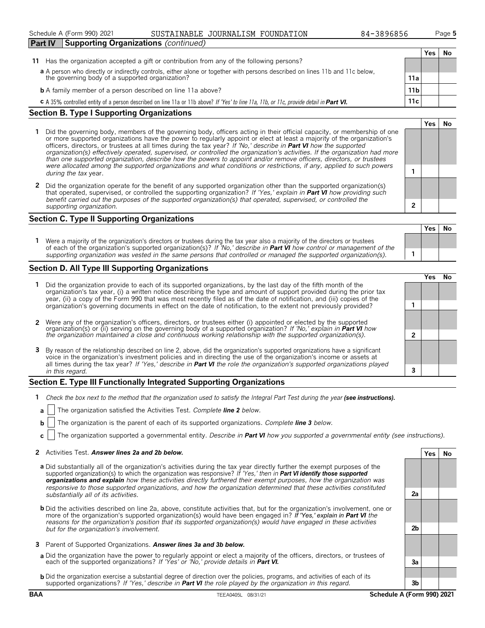Schedule A (Form 990) 2021 **Page 5** SUSTAINABLE JOURNALISM FOUNDATION 84-3896856 Page 5

#### **Section B. Type I Supporting Organizations**

- **1** Did the governing body, members of the governing body, officers acting in their official capacity, or membership of one or more supported organizations have the power to regularly appoint or elect at least a majority of the organization's officers, directors, or trustees at all times during the tax year? *If 'No,' describe in Part VI how the supported organization(s) effectively operated, supervised, or controlled the organization's activities. If the organization had more than one supported organization, describe how the powers to appoint and/or remove officers, directors, or trustees were allocated among the supported organizations and what conditions or restrictions, if any, applied to such powers* **<sup>1</sup>** *during the tax* year.
- **2** Did the organization operate for the benefit of any supported organization other than the supported organization(s) that operated, supervised, or controlled the supporting organization? *If 'Yes,' explain in Part VI how providing such benefit carried out the purposes of the supported organization(s) that operated, supervised, or controlled the supporting organization.* **2**

#### **Section C. Type II Supporting Organizations**

**Yes No 1** Were a majority of the organization's directors or trustees during the tax year also a majority of the directors or trustees of each of the organization's supported organization(s)? *If 'No,' describe in Part VI how control or management of the supporting organization was vested in the same persons that controlled or managed the supported organization(s).* **1**

#### **Section D. All Type III Supporting Organizations**

|                                                                                                                                                                                                                                                                                                                                                                                |  | ′e< |  |  |
|--------------------------------------------------------------------------------------------------------------------------------------------------------------------------------------------------------------------------------------------------------------------------------------------------------------------------------------------------------------------------------|--|-----|--|--|
| 1 Did the organization provide to each of its supported organizations, by the last day of the fifth month of the<br>organization's tax year, (i) a written notice describing the type and amount of support provided during the prior tax<br>year, (ii) a copy of the Form 990 that was most recently filed as of the date of notification, and (iii) copies of the            |  |     |  |  |
| organization's governing documents in effect on the date of notification, to the extent not previously provided?                                                                                                                                                                                                                                                               |  |     |  |  |
| 2 Were any of the organization's officers, directors, or trustees either (i) appointed or elected by the supported                                                                                                                                                                                                                                                             |  |     |  |  |
| organization(s) or (ii) serving on the governing body of a supported organization? If No, explain in <b>Part VI</b> how<br>the organization maintained a close and continuous working relationship with the supported organization(s).                                                                                                                                         |  |     |  |  |
| 3 By reason of the relationship described on line 2, above, did the organization's supported organizations have a significant<br>voice in the organization's investment policies and in directing the use of the organization's income or assets at<br>all times during the tax year? If 'Yes,' describe in Part VI the role the organization's supported organizations played |  |     |  |  |
| in this regard.                                                                                                                                                                                                                                                                                                                                                                |  |     |  |  |

#### **Section E. Type III Functionally Integrated Supporting Organizations**

- **1** *Check the box next to the method that the organization used to satisfy the Integral Part Test during the year (see instructions).*
- **a** The organization satisfied the Activities Test. *Complete line 2 below.*
- **b** The organization is the parent of each of its supported organizations. *Complete line 3 below.*
- **c** The organization supported a governmental entity. *Describe in Part VI how you supported a governmental entity (see instructions).*

#### **2** Activities Test. *Answer lines 2a and 2b below.* **Yes No**

- **a** Did substantially all of the organization's activities during the tax year directly further the exempt purposes of the supported organization(s) to which the organization was responsive? *If 'Yes,' then in Part VI identify those supported organizations and explain how these activities directly furthered their exempt purposes, how the organization was responsive to those supported organizations, and how the organization determined that these activities constituted substantially all of its activities.* **2a**
- **b** Did the activities described on line 2a, above, constitute activities that, but for the organization's involvement, one or more of the organization's supported organization(s) would have been engaged in? *If 'Yes,' explain in Part VI the reasons for the organization's position that its supported organization(s) would have engaged in these activities but for the organization's involvement.* **2b**
- **3** Parent of Supported Organizations. *Answer lines 3a and 3b below.*
- **a** Did the organization have the power to regularly appoint or elect a majority of the officers, directors, or trustees of each of the supported organizations? *If 'Yes' or 'No,' provide details in Part VI.* **3a**
- **b** Did the organization exercise a substantial degree of direction over the policies, programs, and activities of each of its supported organizations? *If 'Yes,' describe in Part VI the role played by the organization in this regard.* **3b**

**Yes No**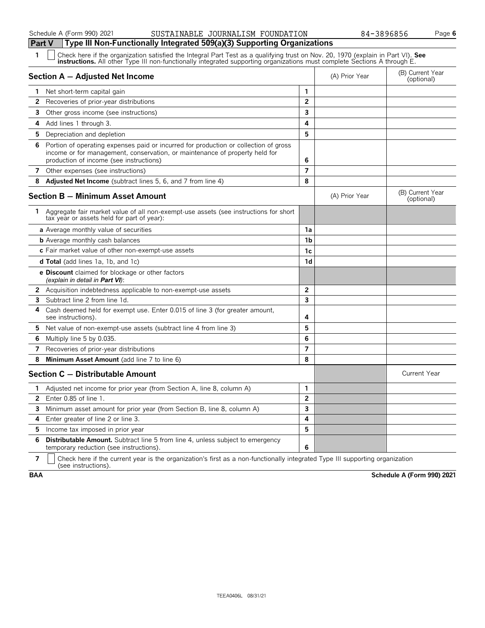#### Schedule A (Form 990) 2021 **Bustain State State And State State Control** Control Control Control Control Control Control Control Control Control Control Control Control Control Control Control Control Control Control Contr

**Part V Type III Non-Functionally Integrated 509(a)(3) Supporting Organizations**

| 1  | Check here if the organization satisfied the Integral Part Test as a qualifying trust on Nov. 20, 1970 (explain in Part VI). See<br><b>instructions.</b> All other Type III non-functionally integrated supporting organizations must complete Sections A through E. |                |                |                                |  |  |
|----|----------------------------------------------------------------------------------------------------------------------------------------------------------------------------------------------------------------------------------------------------------------------|----------------|----------------|--------------------------------|--|--|
|    | Section A - Adjusted Net Income                                                                                                                                                                                                                                      |                | (A) Prior Year | (B) Current Year<br>(optional) |  |  |
| 1. | Net short-term capital gain                                                                                                                                                                                                                                          | 1              |                |                                |  |  |
| 2  | Recoveries of prior-year distributions                                                                                                                                                                                                                               | $\overline{2}$ |                |                                |  |  |
| 3  | Other gross income (see instructions)                                                                                                                                                                                                                                | 3              |                |                                |  |  |
| 4  | Add lines 1 through 3.                                                                                                                                                                                                                                               | 4              |                |                                |  |  |
| 5. | Depreciation and depletion                                                                                                                                                                                                                                           | 5              |                |                                |  |  |
| 6  | Portion of operating expenses paid or incurred for production or collection of gross<br>income or for management, conservation, or maintenance of property held for<br>production of income (see instructions)                                                       | 6              |                |                                |  |  |
|    | 7 Other expenses (see instructions)                                                                                                                                                                                                                                  | $\overline{7}$ |                |                                |  |  |
| 8  | <b>Adjusted Net Income</b> (subtract lines 5, 6, and 7 from line 4)                                                                                                                                                                                                  | 8              |                |                                |  |  |
|    | <b>Section B - Minimum Asset Amount</b>                                                                                                                                                                                                                              |                | (A) Prior Year | (B) Current Year<br>(optional) |  |  |
|    | 1 Aggregate fair market value of all non-exempt-use assets (see instructions for short<br>tax year or assets held for part of year):                                                                                                                                 |                |                |                                |  |  |
|    | a Average monthly value of securities                                                                                                                                                                                                                                | 1a             |                |                                |  |  |
|    | <b>b</b> Average monthly cash balances                                                                                                                                                                                                                               | 1b             |                |                                |  |  |
|    | c Fair market value of other non-exempt-use assets                                                                                                                                                                                                                   | 1c             |                |                                |  |  |
|    | <b>d Total</b> (add lines 1a, 1b, and 1c)                                                                                                                                                                                                                            | 1 <sub>d</sub> |                |                                |  |  |
|    | <b>e Discount</b> claimed for blockage or other factors<br>(explain in detail in <b>Part VI</b> ):                                                                                                                                                                   |                |                |                                |  |  |
| 2. | Acquisition indebtedness applicable to non-exempt-use assets                                                                                                                                                                                                         | $\overline{2}$ |                |                                |  |  |
| 3  | Subtract line 2 from line 1d.                                                                                                                                                                                                                                        | 3              |                |                                |  |  |
| 4  | Cash deemed held for exempt use. Enter 0.015 of line 3 (for greater amount,<br>see instructions).                                                                                                                                                                    | 4              |                |                                |  |  |
| 5. | Net value of non-exempt-use assets (subtract line 4 from line 3)                                                                                                                                                                                                     | 5              |                |                                |  |  |
| 6  | Multiply line 5 by 0.035.                                                                                                                                                                                                                                            | 6              |                |                                |  |  |
| 7  | Recoveries of prior-year distributions                                                                                                                                                                                                                               | $\overline{7}$ |                |                                |  |  |
| 8  | Minimum Asset Amount (add line 7 to line 6)                                                                                                                                                                                                                          | 8              |                |                                |  |  |
|    | Section C - Distributable Amount                                                                                                                                                                                                                                     |                |                | <b>Current Year</b>            |  |  |
| 1. | Adjusted net income for prior year (from Section A, line 8, column A)                                                                                                                                                                                                | $\mathbf{1}$   |                |                                |  |  |
| 2  | Enter 0.85 of line 1.                                                                                                                                                                                                                                                | $\overline{2}$ |                |                                |  |  |
| 3. | Minimum asset amount for prior year (from Section B, line 8, column A)                                                                                                                                                                                               | 3              |                |                                |  |  |
| 4  | Enter greater of line 2 or line 3.                                                                                                                                                                                                                                   | 4              |                |                                |  |  |
| 5  | Income tax imposed in prior year                                                                                                                                                                                                                                     | 5              |                |                                |  |  |
| 6  | Distributable Amount. Subtract line 5 from line 4, unless subject to emergency<br>temporary reduction (see instructions).                                                                                                                                            | 6              |                |                                |  |  |

**7**  $\mid$  Check here if the current year is the organization's first as a non-functionally integrated Type III supporting organization (see instructions).

**BAA Schedule A (Form 990) 2021**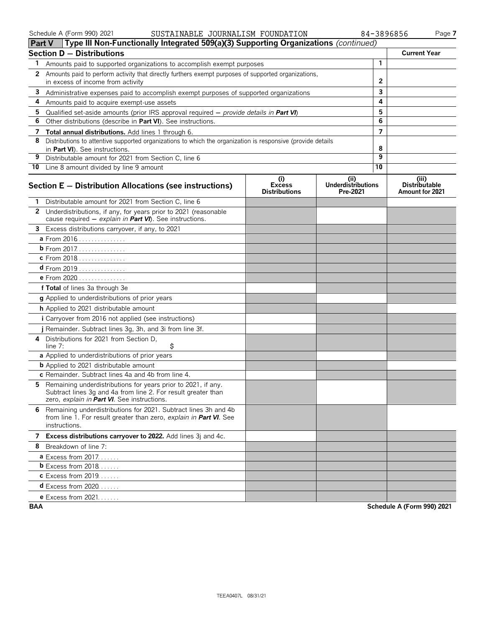#### Schedule A (Form 990) 2021 **Page 7** SUSTAINABLE JOURNALISM FOUNDATION 84-3896856 Page **7**

| 3896856 | Page |
|---------|------|
|---------|------|

|    | Type III Non-Functionally Integrated 509(a)(3) Supporting Organizations (continued)<br>Part V                                                                                 |                                              |                                              |                |                                                  |
|----|-------------------------------------------------------------------------------------------------------------------------------------------------------------------------------|----------------------------------------------|----------------------------------------------|----------------|--------------------------------------------------|
|    | <b>Section D - Distributions</b>                                                                                                                                              |                                              |                                              |                | <b>Current Year</b>                              |
| 1. | Amounts paid to supported organizations to accomplish exempt purposes                                                                                                         |                                              | $\mathbf{1}$                                 |                |                                                  |
| 2  | Amounts paid to perform activity that directly furthers exempt purposes of supported organizations,<br>in excess of income from activity                                      |                                              |                                              | $\overline{2}$ |                                                  |
|    | 3 Administrative expenses paid to accomplish exempt purposes of supported organizations                                                                                       |                                              |                                              | 3              |                                                  |
| 4  | Amounts paid to acquire exempt-use assets                                                                                                                                     |                                              |                                              | 4              |                                                  |
| 5  | Qualified set-aside amounts (prior IRS approval required $-$ provide details in Part VI)                                                                                      |                                              |                                              | 5              |                                                  |
| 6  | Other distributions (describe in <b>Part VI</b> ). See instructions.                                                                                                          |                                              |                                              | 6              |                                                  |
| 7  | Total annual distributions. Add lines 1 through 6.                                                                                                                            |                                              |                                              | 7              |                                                  |
| 8  | Distributions to attentive supported organizations to which the organization is responsive (provide details<br>in Part VI). See instructions.                                 |                                              |                                              | 8              |                                                  |
| 9  | Distributable amount for 2021 from Section C, line 6                                                                                                                          |                                              |                                              | 9              |                                                  |
|    | 10 Line 8 amount divided by line 9 amount                                                                                                                                     |                                              |                                              | 10             |                                                  |
|    | Section E - Distribution Allocations (see instructions)                                                                                                                       | (i)<br><b>Excess</b><br><b>Distributions</b> | (i)<br><b>Underdistributions</b><br>Pre-2021 |                | (iii)<br><b>Distributable</b><br>Amount for 2021 |
| 1. | Distributable amount for 2021 from Section C. line 6                                                                                                                          |                                              |                                              |                |                                                  |
|    | 2 Underdistributions, if any, for years prior to 2021 (reasonable<br>cause required - explain in Part VI). See instructions.                                                  |                                              |                                              |                |                                                  |
|    | 3 Excess distributions carryover, if any, to 2021                                                                                                                             |                                              |                                              |                |                                                  |
|    | <b>a</b> From 2016                                                                                                                                                            |                                              |                                              |                |                                                  |
|    | <b>b</b> From 2017.                                                                                                                                                           |                                              |                                              |                |                                                  |
|    | c From 2018                                                                                                                                                                   |                                              |                                              |                |                                                  |
|    | $d$ From 2019                                                                                                                                                                 |                                              |                                              |                |                                                  |
|    | e From 2020                                                                                                                                                                   |                                              |                                              |                |                                                  |
|    | f Total of lines 3a through 3e                                                                                                                                                |                                              |                                              |                |                                                  |
|    | <b>g</b> Applied to underdistributions of prior years                                                                                                                         |                                              |                                              |                |                                                  |
|    | h Applied to 2021 distributable amount                                                                                                                                        |                                              |                                              |                |                                                  |
|    | <i>i</i> Carryover from 2016 not applied (see instructions)                                                                                                                   |                                              |                                              |                |                                                  |
|    | j Remainder. Subtract lines 3g, 3h, and 3i from line 3f.                                                                                                                      |                                              |                                              |                |                                                  |
| 4  | Distributions for 2021 from Section D,<br>\$<br>line $7:$                                                                                                                     |                                              |                                              |                |                                                  |
|    | a Applied to underdistributions of prior years                                                                                                                                |                                              |                                              |                |                                                  |
|    | <b>b</b> Applied to 2021 distributable amount                                                                                                                                 |                                              |                                              |                |                                                  |
|    | c Remainder. Subtract lines 4a and 4b from line 4.                                                                                                                            |                                              |                                              |                |                                                  |
| 5. | Remaining underdistributions for years prior to 2021, if any.<br>Subtract lines 3g and 4a from line 2. For result greater than<br>zero, explain in Part VI. See instructions. |                                              |                                              |                |                                                  |
|    | 6 Remaining underdistributions for 2021. Subtract lines 3h and 4b<br>from line 1. For result greater than zero, explain in Part VI. See<br>instructions.                      |                                              |                                              |                |                                                  |
|    | 7 Excess distributions carryover to 2022. Add lines 3j and 4c.                                                                                                                |                                              |                                              |                |                                                  |
| 8  | Breakdown of line 7:                                                                                                                                                          |                                              |                                              |                |                                                  |
|    | <b>a</b> Excess from $2017$                                                                                                                                                   |                                              |                                              |                |                                                  |
|    | <b>b</b> Excess from 2018                                                                                                                                                     |                                              |                                              |                |                                                  |
|    | <b>c</b> Excess from 2019.                                                                                                                                                    |                                              |                                              |                |                                                  |
|    | <b>d</b> Excess from 2020                                                                                                                                                     |                                              |                                              |                |                                                  |
|    | e Excess from 2021.                                                                                                                                                           |                                              |                                              |                |                                                  |

**BAA Schedule A (Form 990) 2021**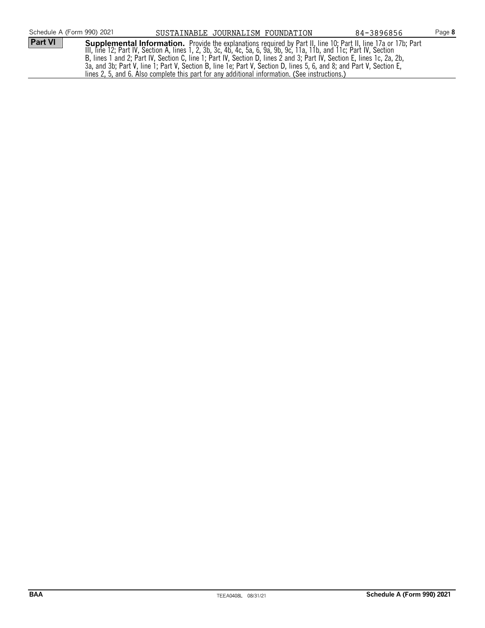| Schedule A (Form 990) 2021 | SUSTAINABLE JOURNALISM FOUNDATION                                                              |  | 84-3896856                                                                                                                                                                                                                                                                                                                                                                                                                                                                           | Page 8 |
|----------------------------|------------------------------------------------------------------------------------------------|--|--------------------------------------------------------------------------------------------------------------------------------------------------------------------------------------------------------------------------------------------------------------------------------------------------------------------------------------------------------------------------------------------------------------------------------------------------------------------------------------|--------|
| Part VI                    | lines 2, 5, and 6. Also complete this part for any additional information. (See instructions.) |  | <b>Supplemental Information.</b> Provide the explanations required by Part II, line 10; Part II, line 17a or 17b; Part III, line 17a or 17b; Part III, line 17a or 17b; Part III, line 12; Part IV, Section A, lines 1, 2, 3b, 3c,<br>B, lines 1 and 2; Part IV, Section C, line 1; Part IV, Section D, lines 2 and 3; Part IV, Section E, lines 1c, 2a, 2b,<br>3a, and 3b; Part V, line 1; Part V, Section B, line 1e; Part V, Section D, lines 5, 6, and 8; and Part V, Section E, |        |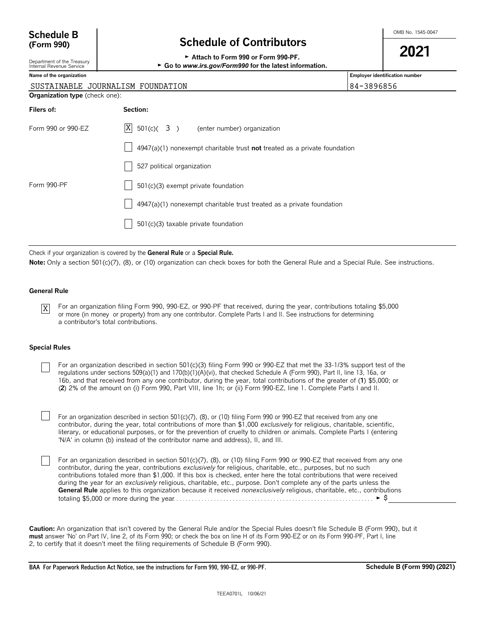# **Schedule B**  $\overline{B}$  **Schedule B**  $\overline{C}$  and  $\overline{D}$  **Schedule B**  $\overline{S}$  **Schedule B**  $\overline{S}$  **Schedule B**  $\overline{S}$  **SC**  $\overline{S}$  **SC**  $\overline{S}$  **SC**  $\overline{S}$  **SC**  $\overline{S}$  **SC**  $\overline{S}$  **SC**  $\overline{S}$  **SC**  $\overline{S}$

| (Form 990)                                             | <b>Schedule of Contributors</b>                                                    |                                |  |
|--------------------------------------------------------|------------------------------------------------------------------------------------|--------------------------------|--|
| Department of the Treasury<br>Internal Revenue Service | 2021<br>► Go to www.irs.gov/Form990 for the latest information.                    |                                |  |
| Name of the organization                               |                                                                                    | Employer identification number |  |
|                                                        | SUSTAINABLE JOURNALISM FOUNDATION                                                  | 84-3896856                     |  |
| <b>Organization type</b> (check one):                  |                                                                                    |                                |  |
| Filers of:                                             | Section:                                                                           |                                |  |
| Form 990 or 990-EZ                                     | X <br>$501(c)$ (3) (enter number) organization                                     |                                |  |
|                                                        | $4947(a)(1)$ nonexempt charitable trust <b>not</b> treated as a private foundation |                                |  |
|                                                        | 527 political organization                                                         |                                |  |
| Form 990-PF                                            | $501(c)(3)$ exempt private foundation                                              |                                |  |
|                                                        | $4947(a)(1)$ nonexempt charitable trust treated as a private foundation            |                                |  |
|                                                        | 501(c)(3) taxable private foundation                                               |                                |  |

Check if your organization is covered by the **General Rule** or a **Special Rule.**

Note: Only a section 501(c)(7), (8), or (10) organization can check boxes for both the General Rule and a Special Rule. See instructions.

#### **General Rule**

For an organization filing Form 990, 990-EZ, or 990-PF that received, during the year, contributions totaling \$5,000 or more (in money or property) from any one contributor. Complete Parts I and II. See instructions for determining a contributor's total contributions. X

#### **Special Rules**

For an organization described in section 501(c)(3) filing Form 990 or 990-EZ that met the 33-1/3% support test of the regulations under sections 509(a)(1) and 170(b)(1)(A)(vi), that checked Schedule A (Form 990), Part II, line 13, 16a, or 16b, and that received from any one contributor, during the year, total contributions of the greater of (**1**) \$5,000; or (**2**) 2% of the amount on (i) Form 990, Part VIII, line 1h; or (ii) Form 990-EZ, line 1. Complete Parts I and II.

For an organization described in section 501(c)(7), (8), or (10) filing Form 990 or 990-EZ that received from any one contributor, during the year, total contributions of more than \$1,000 *exclusively* for religious, charitable, scientific, literary, or educational purposes, or for the prevention of cruelty to children or animals. Complete Parts I (entering 'N/A' in column (b) instead of the contributor name and address), II, and III.

For an organization described in section 501(c)(7), (8), or (10) filing Form 990 or 990-EZ that received from any one contributor, during the year, contributions *exclusively* for religious, charitable, etc., purposes, but no such contributions totaled more than \$1,000. If this box is checked, enter here the total contributions that were received during the year for an *exclusively* religious, charitable, etc., purpose. Don't complete any of the parts unless the **General Rule** applies to this organization because it received *nonexclusively* religious, charitable, etc., contributions totaling \$5,000 or more during the year. . . . . . . . . . . . . . . . . . . . . . . . . . . . . . . . . . . . . . . . . . . . . . . . . . . . . . . . . . . . . . . . G \$

**Caution:** An organization that isn't covered by the General Rule and/or the Special Rules doesn't file Schedule B (Form 990), but it **must** answer 'No' on Part IV, line 2, of its Form 990; or check the box on line H of its Form 990-EZ or on its Form 990-PF, Part I, line 2, to certify that it doesn't meet the filing requirements of Schedule B (Form 990).

**BAA For Paperwork Reduction Act Notice, see the instructions for Form 990, 990-EZ, or 990-PF. Schedule B (Form 990) (2021)**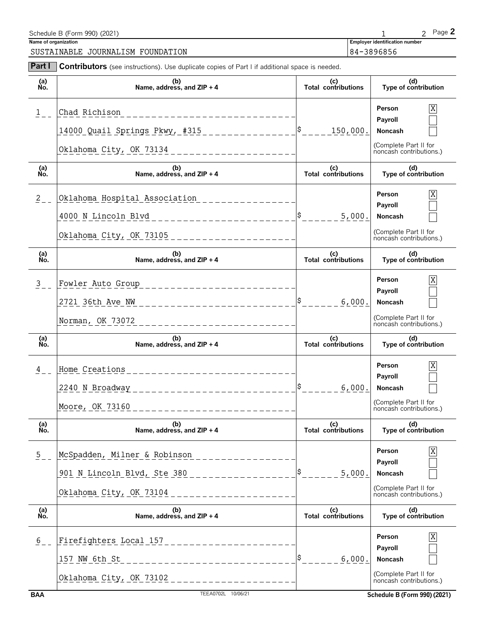| Schedule B (Form 990) (2021)      |                                       | $P$ ade $\blacktriangle$ |
|-----------------------------------|---------------------------------------|--------------------------|
| Name of organization              | <b>Employer identification number</b> |                          |
| SUSTAINABLE JOURNALISM FOUNDATION | 84-3896856                            |                          |

| Part I                      | Contributors (see instructions). Use duplicate copies of Part I if additional space is needed.                                         |                                   |                                                                                                                  |  |
|-----------------------------|----------------------------------------------------------------------------------------------------------------------------------------|-----------------------------------|------------------------------------------------------------------------------------------------------------------|--|
| (a)<br>No.                  | (b)<br>Name, address, and $ZIP + 4$                                                                                                    | (c)<br>Total contributions        | (d)<br>Type of contribution                                                                                      |  |
| $\mathbf{1}$                | Chad Richison<br>______________<br>14000 Quail Springs Pkwy, #315<br>Oklahoma City, OK 73134 _______________________                   | ¦\$<br>150,000.                   | Person<br>Payroll<br>Noncash<br>(Complete Part II for<br>noncash contributions.)                                 |  |
| (a)<br>No.                  | (b)<br>Name, address, and ZIP + 4                                                                                                      | (c)<br>Total contributions        | (d)<br>Type of contribution                                                                                      |  |
| $\frac{2}{2}$               | Oklahoma Hospital Association<br>4000 N Lincoln Blvd<br>________________                                                               | 5,000.                            | Person<br>Payroll<br>Noncash<br>(Complete Part II for<br>noncash contributions.)                                 |  |
| (a)<br>Ňó.                  | (b)<br>Name, address, and ZIP + 4                                                                                                      | (c)<br>Total contributions        | (d)<br>Type of contribution                                                                                      |  |
| $\mathbf{3}$                | Fowler Auto Group<br>____________________<br>2721 36th Ave NW<br>-----------------------<br>Norman, OK 73072<br>______________________ | 6,000.                            | Person<br>Payroll<br>Noncash<br>(Complete Part II for<br>noncash contributions.)                                 |  |
| (a)<br>No.                  | (b)<br>Name, address, and $ZIP + 4$                                                                                                    | (c)<br>Total contributions        | (d)<br>Type of contribution                                                                                      |  |
| 4                           | Home Creations<br>2240 N Broadway __<br>_______________________<br>Moore, OK 73160<br>--------------------------                       | 6,000.                            | Person<br>Payroll<br>Noncash<br>(Complete Part II for<br>noncash contributions.)                                 |  |
| (a)<br>Ńó.                  | (b)<br>Name, address, and ZIP + 4                                                                                                      | (c)<br><b>Total contributions</b> | (d)<br>Type of contribution                                                                                      |  |
| $\frac{5}{2}$ .             | McSpadden, Milner & Robinson<br>901 N Lincoln Blvd, Ste 380<br>Oklahoma City, OK 73104                                                 | 5,000.                            | Person<br>Payroll<br>Noncash<br>(Complete Part II for<br>noncash contributions.)                                 |  |
| (a)<br>No.                  | (b)<br>Name, address, and ZIP + 4                                                                                                      | (c)<br>Total contributions        | (d)<br>Type of contribution                                                                                      |  |
| $\frac{6}{5}$<br><b>BAA</b> | Firefighters Local 157<br>157 NW 6th St<br>_ _ _ _ _ _ _ _ _ _ _ _ _<br>Oklahoma City, OK 73102<br>TEEA0702L 10/06/21                  | 6,000.                            | Person<br>Payroll<br>Noncash<br>(Complete Part II for<br>noncash contributions.)<br>Schedule B (Form 990) (2021) |  |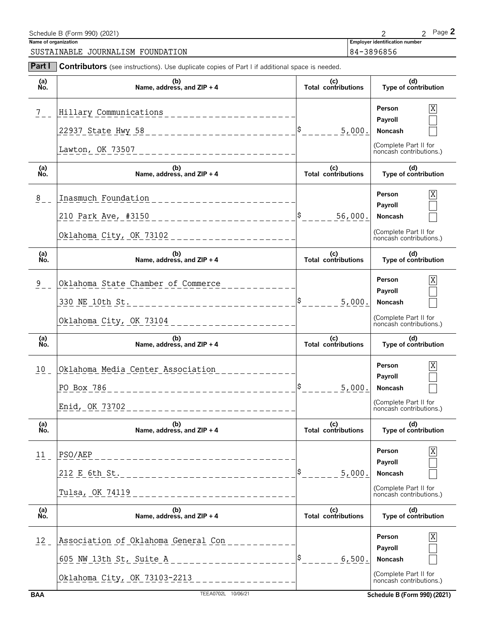| Schedule B (Form 990) (2021)         |                                       | Page ∠ |
|--------------------------------------|---------------------------------------|--------|
| Name of organization                 | <b>Employer identification number</b> |        |
| SUSTAINABLE<br>JOURNALISM FOUNDATION | 84-3896856                            |        |

| Part I           | <b>Contributors</b> (see instructions). Use duplicate copies of Part I if additional space is needed.                                    |                                   |                                                                                                                       |
|------------------|------------------------------------------------------------------------------------------------------------------------------------------|-----------------------------------|-----------------------------------------------------------------------------------------------------------------------|
| (a)<br>No.       | (b)<br>Name, address, and ZIP + 4                                                                                                        | (c)<br>Total contributions        | (d)<br>Type of contribution                                                                                           |
| $7\overline{ }$  | Hillary Communications<br>22937 State Hwy 58 ____________________________<br>Lawton, OK 73507                                            | 5,000.                            | $\mathbf X$<br>Person<br>Payroll<br>Noncash<br>(Complete Part II for<br>noncash contributions.)                       |
| (a)<br>No.       | (b)<br>Name, address, and $ZIP + 4$                                                                                                      | (c)<br>Total contributions        | (d)<br>Type of contribution                                                                                           |
| $\frac{8}{1}$    | Inasmuch Foundation<br>______________________<br>210 Park Ave, #3150 ____________________________                                        | 56,000.                           | X<br>Person<br>Payroll<br>Noncash<br>(Complete Part II for<br>noncash contributions.)                                 |
| (a)<br>Ño.       | (b)<br>Name, address, and ZIP + 4                                                                                                        | (c)<br><b>Total contributions</b> | (d)<br>Type of contribution                                                                                           |
| 9                | Oklahoma State Chamber of Commerce<br>330 NE 10th St. ________________________________                                                   | 5,000.                            | X<br>Person<br>Payroll<br>Noncash<br>(Complete Part II for<br>noncash contributions.)                                 |
| (a)<br>No.       | (b)<br>Name, address, and ZIP + 4                                                                                                        | (c)<br>Total contributions        | (d)<br>Type of contribution                                                                                           |
| 10 <sub>1</sub>  | Oklahoma Media Center Association<br>PO Box 786                                                                                          | 5,000.                            | X<br>Person<br>Payroll<br>Noncash<br>(Complete Part II for<br>noncash contributions.)                                 |
| (a)<br>Ńó.       | (b)<br>Name, address, and ZIP + 4                                                                                                        | (c)<br>Total contributions        | (d)<br>Type of contribution                                                                                           |
| 11               | PSO/AEP<br>212 E 6th St.<br>Tulsa, OK 74119                                                                                              | 5,000.                            | X<br>Person<br>Payroll<br>Noncash<br>(Complete Part II for<br>noncash contributions.)                                 |
| (a)<br>No.       | (b)<br>Name, address, and ZIP + 4                                                                                                        | (c)<br>Total contributions        | (d)<br>Type of contribution                                                                                           |
| 12<br><b>BAA</b> | Association of Oklahoma General Con<br>605 NW 13th St, Suite A ___________________<br>Oklahoma City, OK 73103-2213<br>TEEA0702L 10/06/21 | 6,500.                            | Χ<br>Person<br>Payroll<br>Noncash<br>(Complete Part II for<br>noncash contributions.)<br>Schedule B (Form 990) (2021) |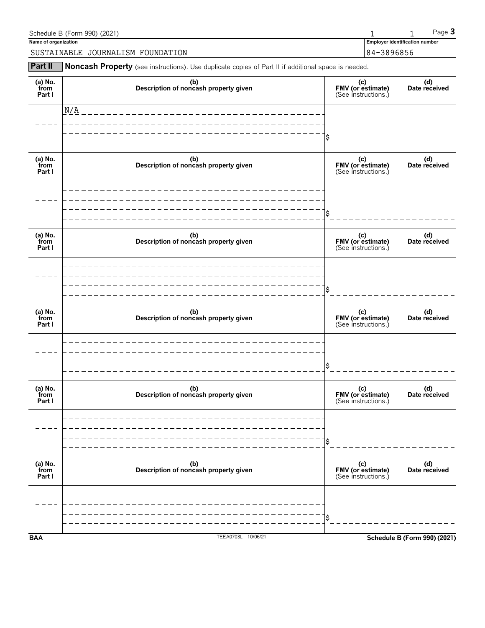| Schedule B (Form 990) (2021)      |                                       | $P$ aqe $\bullet$ |
|-----------------------------------|---------------------------------------|-------------------|
| Name of organization              | <b>Employer identification number</b> |                   |
| SUSTAINABLE JOURNALISM FOUNDATION | 84-3896856                            |                   |

**Part II** Noncash Property (see instructions). Use duplicate copies of Part II if additional space is needed.

| <b>BAA</b>                | TEEA0703L 10/06/21                           |                                                 | <b>Schedule B (Form 990) (2021)</b> |
|---------------------------|----------------------------------------------|-------------------------------------------------|-------------------------------------|
|                           |                                              | \$                                              |                                     |
| (a) No.<br>from<br>Part I |                                              | (c)<br>FMV (or estimate)<br>(See instructions.) |                                     |
|                           | (b)<br>Description of noncash property given | \$                                              | (d)<br>Date received                |
| (a) No.<br>from<br>Part I | (b)<br>Description of noncash property given | (c)<br>FMV (or estimate)<br>(See instructions.) | (d)<br>Date received                |
|                           |                                              | \$                                              |                                     |
| (a) No.<br>from<br>Part I | (b)<br>Description of noncash property given | (c)<br>FMV (or estimate)<br>(See instructions.) | (d)<br>Date received                |
|                           |                                              | \$                                              |                                     |
| (a) No.<br>from<br>Part I | (b)<br>Description of noncash property given | (c)<br>FMV (or estimate)<br>(See instructions.) | (d)<br>Date received                |
|                           |                                              | \$                                              |                                     |
| (a) No.<br>from<br>Part I | (b)<br>Description of noncash property given | (c)<br>FMV (or estimate)<br>(See instructions.) | (d)<br>Date received                |
|                           |                                              | \$                                              |                                     |
|                           | N/A                                          |                                                 |                                     |
| (a) No.<br>from<br>Part I | (b)<br>Description of noncash property given | (c)<br>FMV (or estimate)<br>(See instructions.) | (d)<br>Date received                |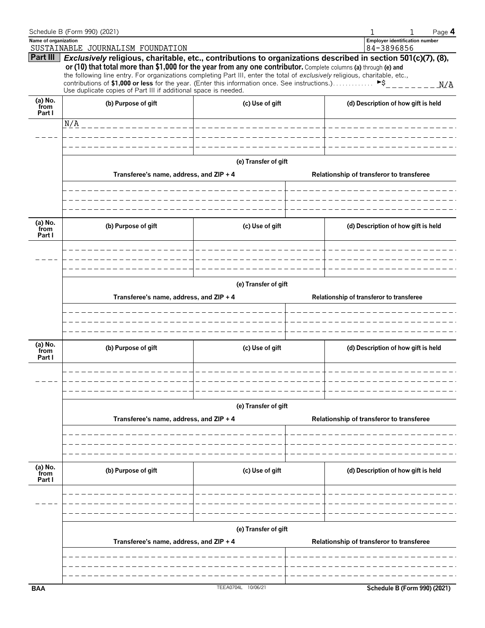|                      | Schedule B (Form 990) (2021)                                                                                                                                       |                      | Page 4<br>1                                                                                                  |  |  |  |  |  |
|----------------------|--------------------------------------------------------------------------------------------------------------------------------------------------------------------|----------------------|--------------------------------------------------------------------------------------------------------------|--|--|--|--|--|
| Name of organization |                                                                                                                                                                    |                      | <b>Employer identification number</b>                                                                        |  |  |  |  |  |
|                      | SUSTAINABLE JOURNALISM FOUNDATION                                                                                                                                  |                      | 84-3896856                                                                                                   |  |  |  |  |  |
| Part III             |                                                                                                                                                                    |                      | Exclusively religious, charitable, etc., contributions to organizations described in section 501(c)(7), (8), |  |  |  |  |  |
|                      | or (10) that total more than \$1,000 for the year from any one contributor. Complete columns (a) through (e) and                                                   |                      |                                                                                                              |  |  |  |  |  |
|                      | the following line entry. For organizations completing Part III, enter the total of exclusively religious, charitable, etc.,                                       |                      |                                                                                                              |  |  |  |  |  |
|                      | contributions of \$1,000 or less for the year. (Enter this information once. See instructions.)<br>Use duplicate copies of Part III if additional space is needed. |                      | ►S<br>N/A                                                                                                    |  |  |  |  |  |
|                      |                                                                                                                                                                    |                      |                                                                                                              |  |  |  |  |  |
| (a) No.<br>from      | (b) Purpose of gift                                                                                                                                                | (c) Use of gift      | (d) Description of how gift is held                                                                          |  |  |  |  |  |
| Part I               |                                                                                                                                                                    |                      |                                                                                                              |  |  |  |  |  |
|                      | N/A<br>the contract of the contract of the contract of the contract of the contract of the contract of the contract of                                             |                      | $= - - 1$                                                                                                    |  |  |  |  |  |
|                      |                                                                                                                                                                    |                      |                                                                                                              |  |  |  |  |  |
|                      |                                                                                                                                                                    |                      |                                                                                                              |  |  |  |  |  |
|                      |                                                                                                                                                                    |                      |                                                                                                              |  |  |  |  |  |
|                      |                                                                                                                                                                    | (e) Transfer of gift |                                                                                                              |  |  |  |  |  |
|                      |                                                                                                                                                                    |                      |                                                                                                              |  |  |  |  |  |
|                      | Transferee's name, address, and ZIP + 4                                                                                                                            |                      | Relationship of transferor to transferee                                                                     |  |  |  |  |  |
|                      |                                                                                                                                                                    |                      |                                                                                                              |  |  |  |  |  |
|                      |                                                                                                                                                                    |                      |                                                                                                              |  |  |  |  |  |
|                      |                                                                                                                                                                    |                      |                                                                                                              |  |  |  |  |  |
|                      |                                                                                                                                                                    |                      |                                                                                                              |  |  |  |  |  |
|                      |                                                                                                                                                                    |                      |                                                                                                              |  |  |  |  |  |
| (a) No.<br>from      | (b) Purpose of gift                                                                                                                                                | (c) Use of gift      | (d) Description of how gift is held                                                                          |  |  |  |  |  |
| Part I               |                                                                                                                                                                    |                      |                                                                                                              |  |  |  |  |  |
|                      |                                                                                                                                                                    |                      |                                                                                                              |  |  |  |  |  |
|                      |                                                                                                                                                                    |                      |                                                                                                              |  |  |  |  |  |
|                      |                                                                                                                                                                    |                      |                                                                                                              |  |  |  |  |  |
|                      |                                                                                                                                                                    |                      |                                                                                                              |  |  |  |  |  |
|                      | (e) Transfer of gift                                                                                                                                               |                      |                                                                                                              |  |  |  |  |  |
|                      |                                                                                                                                                                    |                      |                                                                                                              |  |  |  |  |  |
|                      | Transferee's name, address, and ZIP + 4                                                                                                                            |                      | Relationship of transferor to transferee                                                                     |  |  |  |  |  |
|                      |                                                                                                                                                                    |                      |                                                                                                              |  |  |  |  |  |
|                      |                                                                                                                                                                    |                      |                                                                                                              |  |  |  |  |  |
|                      |                                                                                                                                                                    |                      |                                                                                                              |  |  |  |  |  |
|                      |                                                                                                                                                                    |                      |                                                                                                              |  |  |  |  |  |
| (a) No.<br>from      | (b) Purpose of gift                                                                                                                                                | (c) Use of gift      | (d) Description of how gift is held                                                                          |  |  |  |  |  |
| Part I               |                                                                                                                                                                    |                      |                                                                                                              |  |  |  |  |  |
|                      |                                                                                                                                                                    |                      |                                                                                                              |  |  |  |  |  |
|                      |                                                                                                                                                                    |                      |                                                                                                              |  |  |  |  |  |
|                      | _______                                                                                                                                                            | -------------        | $- - - - - - - - -$                                                                                          |  |  |  |  |  |
|                      |                                                                                                                                                                    |                      |                                                                                                              |  |  |  |  |  |
|                      |                                                                                                                                                                    |                      |                                                                                                              |  |  |  |  |  |
|                      |                                                                                                                                                                    | (e) Transfer of gift |                                                                                                              |  |  |  |  |  |
|                      | Transferee's name, address, and ZIP + 4                                                                                                                            |                      | Relationship of transferor to transferee                                                                     |  |  |  |  |  |
|                      |                                                                                                                                                                    |                      |                                                                                                              |  |  |  |  |  |
|                      |                                                                                                                                                                    |                      |                                                                                                              |  |  |  |  |  |
|                      |                                                                                                                                                                    |                      |                                                                                                              |  |  |  |  |  |
|                      |                                                                                                                                                                    |                      |                                                                                                              |  |  |  |  |  |
|                      |                                                                                                                                                                    |                      |                                                                                                              |  |  |  |  |  |
| (a) No.<br>from      | (b) Purpose of gift                                                                                                                                                | (c) Use of gift      | (d) Description of how gift is held                                                                          |  |  |  |  |  |
| Part I               |                                                                                                                                                                    |                      |                                                                                                              |  |  |  |  |  |
|                      |                                                                                                                                                                    |                      |                                                                                                              |  |  |  |  |  |
|                      |                                                                                                                                                                    |                      |                                                                                                              |  |  |  |  |  |
|                      |                                                                                                                                                                    |                      |                                                                                                              |  |  |  |  |  |
|                      |                                                                                                                                                                    |                      |                                                                                                              |  |  |  |  |  |
|                      |                                                                                                                                                                    |                      |                                                                                                              |  |  |  |  |  |
|                      |                                                                                                                                                                    | (e) Transfer of gift |                                                                                                              |  |  |  |  |  |
|                      | Transferee's name, address, and ZIP + 4                                                                                                                            |                      | Relationship of transferor to transferee                                                                     |  |  |  |  |  |
|                      |                                                                                                                                                                    |                      |                                                                                                              |  |  |  |  |  |
|                      |                                                                                                                                                                    |                      |                                                                                                              |  |  |  |  |  |
|                      |                                                                                                                                                                    |                      |                                                                                                              |  |  |  |  |  |
|                      |                                                                                                                                                                    |                      |                                                                                                              |  |  |  |  |  |
|                      |                                                                                                                                                                    | TEEA0704L 10/06/21   |                                                                                                              |  |  |  |  |  |
| <b>BAA</b>           |                                                                                                                                                                    |                      | Schedule B (Form 990) (2021)                                                                                 |  |  |  |  |  |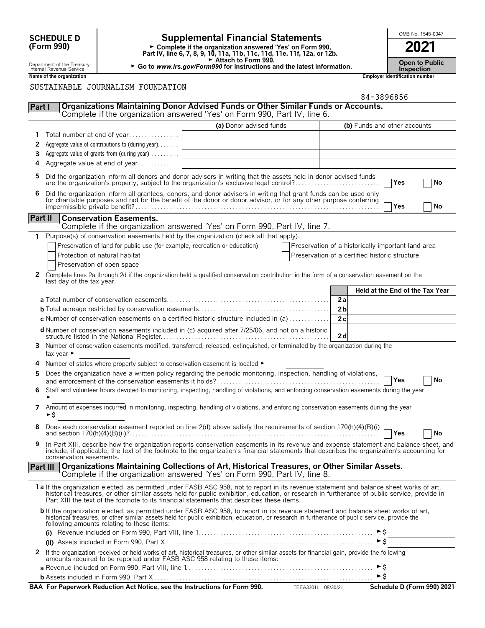| <b>SCHEDULE D</b>        |                                                                                                                                                                                                                                                                                                                                    | <b>Supplemental Financial Statements</b>                                                                                               |                                                                                                                                                                                                                                                                                        |                                                    |                                            |                     | OMB No. 1545-0047               |  |    |  |
|--------------------------|------------------------------------------------------------------------------------------------------------------------------------------------------------------------------------------------------------------------------------------------------------------------------------------------------------------------------------|----------------------------------------------------------------------------------------------------------------------------------------|----------------------------------------------------------------------------------------------------------------------------------------------------------------------------------------------------------------------------------------------------------------------------------------|----------------------------------------------------|--------------------------------------------|---------------------|---------------------------------|--|----|--|
| (Form 990)               |                                                                                                                                                                                                                                                                                                                                    | ► Complete if the organization answered 'Yes' on Form 990,<br>Part IV, line 6, 7, 8, 9, 10, 11a, 11b, 11c, 11d, 11e, 11f, 12a, or 12b. |                                                                                                                                                                                                                                                                                        |                                                    |                                            |                     | 2021                            |  |    |  |
|                          | Department of the Treasury<br>Internal Revenue Service                                                                                                                                                                                                                                                                             | Attach to Form 990.<br>► Go to www.irs.gov/Form990 for instructions and the latest information.                                        |                                                                                                                                                                                                                                                                                        |                                                    | <b>Open to Public</b><br><b>Inspection</b> |                     |                                 |  |    |  |
| Name of the organization |                                                                                                                                                                                                                                                                                                                                    |                                                                                                                                        |                                                                                                                                                                                                                                                                                        |                                                    | <b>Employer identification number</b>      |                     |                                 |  |    |  |
|                          | SUSTAINABLE JOURNALISM FOUNDATION<br>84-3896856                                                                                                                                                                                                                                                                                    |                                                                                                                                        |                                                                                                                                                                                                                                                                                        |                                                    |                                            |                     |                                 |  |    |  |
| Part I                   |                                                                                                                                                                                                                                                                                                                                    |                                                                                                                                        | <b>Organizations Maintaining Donor Advised Funds or Other Similar Funds or Accounts.</b><br>Complete if the organization answered 'Yes' on Form 990, Part IV, line 6.                                                                                                                  |                                                    |                                            |                     |                                 |  |    |  |
|                          |                                                                                                                                                                                                                                                                                                                                    |                                                                                                                                        | (a) Donor advised funds                                                                                                                                                                                                                                                                |                                                    |                                            |                     | (b) Funds and other accounts    |  |    |  |
|                          |                                                                                                                                                                                                                                                                                                                                    | Total number at end of year                                                                                                            |                                                                                                                                                                                                                                                                                        |                                                    |                                            |                     |                                 |  |    |  |
| 2                        |                                                                                                                                                                                                                                                                                                                                    | Aggregate value of contributions to (during year)                                                                                      |                                                                                                                                                                                                                                                                                        |                                                    |                                            |                     |                                 |  |    |  |
| 3                        | Aggregate value of grants from (during year)                                                                                                                                                                                                                                                                                       |                                                                                                                                        |                                                                                                                                                                                                                                                                                        |                                                    |                                            |                     |                                 |  |    |  |
| 4                        |                                                                                                                                                                                                                                                                                                                                    | Aggregate value at end of year                                                                                                         |                                                                                                                                                                                                                                                                                        |                                                    |                                            |                     |                                 |  |    |  |
| 5                        |                                                                                                                                                                                                                                                                                                                                    |                                                                                                                                        | Did the organization inform all donors and donor advisors in writing that the assets held in donor advised funds<br>are the organization's property, subject to the organization's exclusive legal control?                                                                            |                                                    |                                            |                     | Yes                             |  | No |  |
| 6                        |                                                                                                                                                                                                                                                                                                                                    |                                                                                                                                        | Did the organization inform all grantees, donors, and donor advisors in writing that grant funds can be used only for charitable purposes and not for the benefit of the donor or donor advisor, or for any other purpose conf                                                         |                                                    |                                            |                     | Yes                             |  | No |  |
| Part II                  |                                                                                                                                                                                                                                                                                                                                    | <b>Conservation Easements.</b>                                                                                                         |                                                                                                                                                                                                                                                                                        |                                                    |                                            |                     |                                 |  |    |  |
|                          |                                                                                                                                                                                                                                                                                                                                    |                                                                                                                                        | Complete if the organization answered 'Yes' on Form 990, Part IV, line 7.                                                                                                                                                                                                              |                                                    |                                            |                     |                                 |  |    |  |
| $\mathbf{1}$             |                                                                                                                                                                                                                                                                                                                                    |                                                                                                                                        | Purpose(s) of conservation easements held by the organization (check all that apply).                                                                                                                                                                                                  |                                                    |                                            |                     |                                 |  |    |  |
|                          |                                                                                                                                                                                                                                                                                                                                    | Preservation of land for public use (for example, recreation or education)                                                             |                                                                                                                                                                                                                                                                                        | Preservation of a historically important land area |                                            |                     |                                 |  |    |  |
|                          |                                                                                                                                                                                                                                                                                                                                    | Protection of natural habitat<br>Preservation of open space                                                                            |                                                                                                                                                                                                                                                                                        | Preservation of a certified historic structure     |                                            |                     |                                 |  |    |  |
| 2                        | last day of the tax year.                                                                                                                                                                                                                                                                                                          |                                                                                                                                        | Complete lines 2a through 2d if the organization held a qualified conservation contribution in the form of a conservation easement on the                                                                                                                                              |                                                    |                                            |                     |                                 |  |    |  |
|                          |                                                                                                                                                                                                                                                                                                                                    |                                                                                                                                        |                                                                                                                                                                                                                                                                                        |                                                    |                                            |                     | Held at the End of the Tax Year |  |    |  |
|                          |                                                                                                                                                                                                                                                                                                                                    |                                                                                                                                        |                                                                                                                                                                                                                                                                                        |                                                    | 2a                                         |                     |                                 |  |    |  |
|                          |                                                                                                                                                                                                                                                                                                                                    |                                                                                                                                        |                                                                                                                                                                                                                                                                                        |                                                    | 2 <sub>b</sub>                             |                     |                                 |  |    |  |
|                          |                                                                                                                                                                                                                                                                                                                                    |                                                                                                                                        | <b>c</b> Number of conservation easements on a certified historic structure included in (a) $\dots \dots \dots$                                                                                                                                                                        |                                                    | 2c                                         |                     |                                 |  |    |  |
|                          |                                                                                                                                                                                                                                                                                                                                    |                                                                                                                                        | d Number of conservation easements included in (c) acquired after 7/25/06, and not on a historic                                                                                                                                                                                       |                                                    | 2d                                         |                     |                                 |  |    |  |
| 3                        | tax year $\blacktriangleright$                                                                                                                                                                                                                                                                                                     |                                                                                                                                        | Number of conservation easements modified, transferred, released, extinguished, or terminated by the organization during the                                                                                                                                                           |                                                    |                                            |                     |                                 |  |    |  |
| 4                        |                                                                                                                                                                                                                                                                                                                                    | Number of states where property subject to conservation easement is located $\blacktriangleright$                                      |                                                                                                                                                                                                                                                                                        |                                                    |                                            |                     |                                 |  |    |  |
| 5                        |                                                                                                                                                                                                                                                                                                                                    |                                                                                                                                        | Does the organization have a written policy regarding the periodic monitoring, inspection, handling of violations,                                                                                                                                                                     |                                                    |                                            |                     | Yes                             |  | No |  |
| 6.                       | Staff and volunteer hours devoted to monitoring, inspecting, handling of violations, and enforcing conservation easements during the year                                                                                                                                                                                          |                                                                                                                                        |                                                                                                                                                                                                                                                                                        |                                                    |                                            |                     |                                 |  |    |  |
| 7                        | Amount of expenses incurred in monitoring, inspecting, handling of violations, and enforcing conservation easements during the year<br>►\$                                                                                                                                                                                         |                                                                                                                                        |                                                                                                                                                                                                                                                                                        |                                                    |                                            |                     |                                 |  |    |  |
| 8                        |                                                                                                                                                                                                                                                                                                                                    |                                                                                                                                        | Does each conservation easement reported on line 2(d) above satisfy the requirements of section 170(h)(4)(B)(i)                                                                                                                                                                        |                                                    |                                            |                     | $\Box$ Yes                      |  | No |  |
| 9                        | conservation easements.                                                                                                                                                                                                                                                                                                            |                                                                                                                                        | In Part XIII, describe how the organization reports conservation easements in its revenue and expense statement and balance sheet, and<br>include, if applicable, the text of the footnote to the organization's financial statements that describes the organization's accounting for |                                                    |                                            |                     |                                 |  |    |  |
|                          | <b>Part III</b>                                                                                                                                                                                                                                                                                                                    |                                                                                                                                        | Organizations Maintaining Collections of Art, Historical Treasures, or Other Similar Assets.<br>Complete if the organization answered 'Yes' on Form 990, Part IV, line 8.                                                                                                              |                                                    |                                            |                     |                                 |  |    |  |
|                          |                                                                                                                                                                                                                                                                                                                                    |                                                                                                                                        | 1a If the organization elected, as permitted under FASB ASC 958, not to report in its revenue statement and balance sheet works of art,                                                                                                                                                |                                                    |                                            |                     |                                 |  |    |  |
|                          |                                                                                                                                                                                                                                                                                                                                    |                                                                                                                                        | historical treasures, or other similar assets held for public exhibition, education, or research in furtherance of public service, provide in<br>Part XIII the text of the footnote to its financial statements that describes these items.                                            |                                                    |                                            |                     |                                 |  |    |  |
|                          | b If the organization elected, as permitted under FASB ASC 958, to report in its revenue statement and balance sheet works of art,<br>historical treasures, or other similar assets held for public exhibition, education, or research in furtherance of public service, provide the<br>following amounts relating to these items: |                                                                                                                                        |                                                                                                                                                                                                                                                                                        |                                                    |                                            |                     |                                 |  |    |  |
|                          |                                                                                                                                                                                                                                                                                                                                    |                                                                                                                                        |                                                                                                                                                                                                                                                                                        |                                                    |                                            |                     |                                 |  |    |  |
|                          |                                                                                                                                                                                                                                                                                                                                    |                                                                                                                                        |                                                                                                                                                                                                                                                                                        |                                                    |                                            | $\triangleright$ \$ |                                 |  |    |  |
| $\mathbf{z}$             |                                                                                                                                                                                                                                                                                                                                    |                                                                                                                                        | If the organization received or held works of art, historical treasures, or other similar assets for financial gain, provide the following<br>amounts required to be reported under FASB ASC 958 relating to these items:                                                              |                                                    |                                            |                     |                                 |  |    |  |
|                          |                                                                                                                                                                                                                                                                                                                                    |                                                                                                                                        |                                                                                                                                                                                                                                                                                        |                                                    |                                            | ► \$                |                                 |  |    |  |
|                          |                                                                                                                                                                                                                                                                                                                                    |                                                                                                                                        |                                                                                                                                                                                                                                                                                        |                                                    |                                            |                     |                                 |  |    |  |
|                          |                                                                                                                                                                                                                                                                                                                                    |                                                                                                                                        | BAA For Paperwork Reduction Act Notice, see the Instructions for Form 990. TEEA3301L 08/30/21                                                                                                                                                                                          |                                                    |                                            |                     | Schedule D (Form 990) 2021      |  |    |  |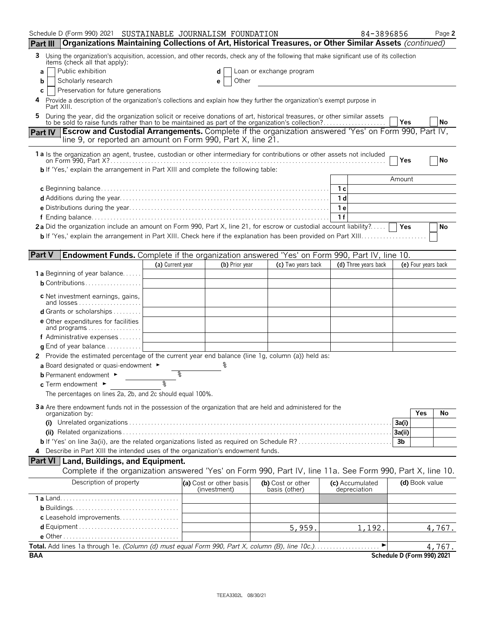|                 | Schedule D (Form 990) 2021  SUSTAINABLE JOURNALISM FOUNDATION                                                                                                                                                             |                  |                                         |                                    |     | 84-3896856                      |                            |                     | Page 2    |
|-----------------|---------------------------------------------------------------------------------------------------------------------------------------------------------------------------------------------------------------------------|------------------|-----------------------------------------|------------------------------------|-----|---------------------------------|----------------------------|---------------------|-----------|
| <b>Part III</b> | Organizations Maintaining Collections of Art, Historical Treasures, or Other Similar Assets (continued)                                                                                                                   |                  |                                         |                                    |     |                                 |                            |                     |           |
| 3               | Using the organization's acquisition, accession, and other records, check any of the following that make significant use of its collection                                                                                |                  |                                         |                                    |     |                                 |                            |                     |           |
| a               | items (check all that apply):<br>Public exhibition                                                                                                                                                                        |                  |                                         | Loan or exchange program           |     |                                 |                            |                     |           |
| b               | Scholarly research                                                                                                                                                                                                        |                  | Other<br>е                              |                                    |     |                                 |                            |                     |           |
| С               | Preservation for future generations                                                                                                                                                                                       |                  |                                         |                                    |     |                                 |                            |                     |           |
|                 | Provide a description of the organization's collections and explain how they further the organization's exempt purpose in<br>Part XIII.                                                                                   |                  |                                         |                                    |     |                                 |                            |                     |           |
|                 | During the year, did the organization solicit or receive donations of art, historical treasures, or other similar assets to be sold to raise funds rather than to be maintained as part of the organization's collection? |                  |                                         |                                    |     |                                 |                            |                     |           |
|                 | <b>Escrow and Custodial Arrangements.</b> Complete if the organization answered 'Yes' on Form 990, Part IV,                                                                                                               |                  |                                         |                                    |     |                                 | Yes                        |                     | <b>No</b> |
| <b>Part IV</b>  | line 9, or reported an amount on Form 990, Part X, line 21.                                                                                                                                                               |                  |                                         |                                    |     |                                 |                            |                     |           |
|                 | 1a Is the organization an agent, trustee, custodian or other intermediary for contributions or other assets not included                                                                                                  |                  |                                         |                                    |     |                                 | Yes                        |                     | No        |
|                 | <b>b</b> If 'Yes,' explain the arrangement in Part XIII and complete the following table:                                                                                                                                 |                  |                                         |                                    |     |                                 |                            |                     |           |
|                 |                                                                                                                                                                                                                           |                  |                                         |                                    |     |                                 | Amount                     |                     |           |
|                 |                                                                                                                                                                                                                           |                  |                                         |                                    | 1 с |                                 |                            |                     |           |
|                 |                                                                                                                                                                                                                           |                  |                                         |                                    | 1 d |                                 |                            |                     |           |
|                 |                                                                                                                                                                                                                           |                  |                                         |                                    | 1е  |                                 |                            |                     |           |
|                 |                                                                                                                                                                                                                           |                  |                                         |                                    | 1f  |                                 |                            |                     |           |
|                 | 2a Did the organization include an amount on Form 990, Part X, line 21, for escrow or custodial account liability?                                                                                                        |                  |                                         |                                    |     |                                 | Yes                        |                     | No        |
|                 |                                                                                                                                                                                                                           |                  |                                         |                                    |     |                                 |                            |                     |           |
|                 |                                                                                                                                                                                                                           |                  |                                         |                                    |     |                                 |                            |                     |           |
| <b>Part V</b>   | <b>Endowment Funds.</b> Complete if the organization answered 'Yes' on Form 990, Part IV, line 10.                                                                                                                        |                  |                                         |                                    |     |                                 |                            |                     |           |
|                 |                                                                                                                                                                                                                           | (a) Current year | (b) Prior year                          | (c) Two years back                 |     | (d) Three years back            |                            | (e) Four years back |           |
|                 | <b>1 a</b> Beginning of year balance                                                                                                                                                                                      |                  |                                         |                                    |     |                                 |                            |                     |           |
|                 | <b>b</b> Contributions                                                                                                                                                                                                    |                  |                                         |                                    |     |                                 |                            |                     |           |
|                 | c Net investment earnings, gains,<br>and losses                                                                                                                                                                           |                  |                                         |                                    |     |                                 |                            |                     |           |
|                 | d Grants or scholarships                                                                                                                                                                                                  |                  |                                         |                                    |     |                                 |                            |                     |           |
|                 | <b>e</b> Other expenditures for facilities<br>and programs                                                                                                                                                                |                  |                                         |                                    |     |                                 |                            |                     |           |
|                 | <b>f</b> Administrative expenses $\ldots$                                                                                                                                                                                 |                  |                                         |                                    |     |                                 |                            |                     |           |
|                 | <b>g</b> End of year balance $\ldots$ , $\ldots$                                                                                                                                                                          |                  |                                         |                                    |     |                                 |                            |                     |           |
|                 | 2 Provide the estimated percentage of the current year end balance (line 1g, column (a)) held as:                                                                                                                         |                  |                                         |                                    |     |                                 |                            |                     |           |
|                 | a Board designated or quasi-endowment $\blacktriangleright$                                                                                                                                                               |                  |                                         |                                    |     |                                 |                            |                     |           |
|                 | <b>b</b> Permanent endowment ►                                                                                                                                                                                            | ిం               |                                         |                                    |     |                                 |                            |                     |           |
|                 | c Term endowment $\blacktriangleright$                                                                                                                                                                                    | يو               |                                         |                                    |     |                                 |                            |                     |           |
|                 | The percentages on lines 2a, 2b, and 2c should equal 100%.                                                                                                                                                                |                  |                                         |                                    |     |                                 |                            |                     |           |
|                 | 3a Are there endowment funds not in the possession of the organization that are held and administered for the                                                                                                             |                  |                                         |                                    |     |                                 |                            |                     |           |
|                 | organization by:                                                                                                                                                                                                          |                  |                                         |                                    |     |                                 |                            | Yes                 | No        |
|                 |                                                                                                                                                                                                                           |                  |                                         |                                    |     |                                 | 3a(i)                      |                     |           |
|                 |                                                                                                                                                                                                                           |                  |                                         |                                    |     |                                 | 3a(ii)                     |                     |           |
|                 | <b>b</b> If 'Yes' on line 3a(ii), are the related organizations listed as required on Schedule R?                                                                                                                         |                  |                                         |                                    |     |                                 | 3 <sub>b</sub>             |                     |           |
|                 | 4 Describe in Part XIII the intended uses of the organization's endowment funds.                                                                                                                                          |                  |                                         |                                    |     |                                 |                            |                     |           |
|                 | <b>Part VI</b> Land, Buildings, and Equipment.                                                                                                                                                                            |                  |                                         |                                    |     |                                 |                            |                     |           |
|                 | Complete if the organization answered 'Yes' on Form 990, Part IV, line 11a. See Form 990, Part X, line 10.                                                                                                                |                  |                                         |                                    |     |                                 |                            |                     |           |
|                 | Description of property                                                                                                                                                                                                   |                  | (a) Cost or other basis<br>(investment) | (b) Cost or other<br>basis (other) |     | (c) Accumulated<br>depreciation |                            | (d) Book value      |           |
|                 |                                                                                                                                                                                                                           |                  |                                         |                                    |     |                                 |                            |                     |           |
|                 |                                                                                                                                                                                                                           |                  |                                         |                                    |     |                                 |                            |                     |           |
|                 | c Leasehold improvements                                                                                                                                                                                                  |                  |                                         |                                    |     |                                 |                            |                     |           |
|                 |                                                                                                                                                                                                                           |                  |                                         | 5,959.                             |     | 1,192.                          |                            |                     | 4,767.    |
|                 |                                                                                                                                                                                                                           |                  |                                         |                                    |     |                                 |                            |                     |           |
|                 | Total. Add lines 1a through 1e. (Column (d) must equal Form 990, Part X, column (B), line 10c.)                                                                                                                           |                  |                                         |                                    |     | ▶                               |                            |                     | 4,767.    |
| <b>BAA</b>      |                                                                                                                                                                                                                           |                  |                                         |                                    |     |                                 | Schedule D (Form 990) 2021 |                     |           |

TEEA3302L 08/30/21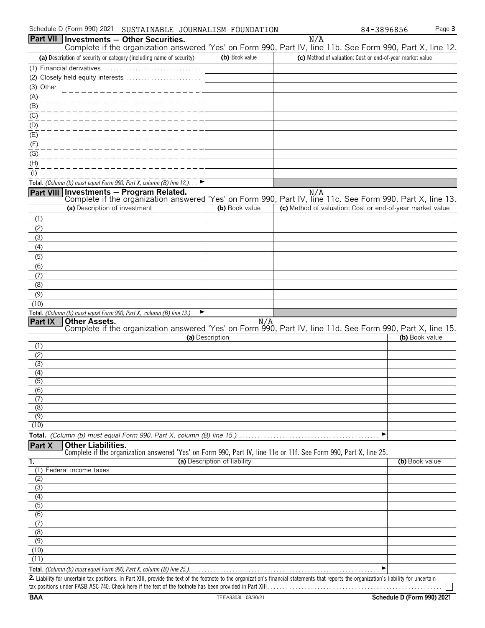|                         | Part VII   Investments - Other Securities.                                                                                                                                         |                              | N/A                                                       |                |
|-------------------------|------------------------------------------------------------------------------------------------------------------------------------------------------------------------------------|------------------------------|-----------------------------------------------------------|----------------|
|                         | Complete if the organization answered 'Yes' on Form 990, Part IV, line 11b. See Form 990, Part X, line 12.<br>(a) Description of security or category (including name of security) | (b) Book value               | (c) Method of valuation: Cost or end-of-year market value |                |
|                         |                                                                                                                                                                                    |                              |                                                           |                |
|                         |                                                                                                                                                                                    |                              |                                                           |                |
| (3) Other               |                                                                                                                                                                                    |                              |                                                           |                |
| (A)                     |                                                                                                                                                                                    |                              |                                                           |                |
| (B)                     |                                                                                                                                                                                    |                              |                                                           |                |
| (C)                     |                                                                                                                                                                                    |                              |                                                           |                |
| (D)                     |                                                                                                                                                                                    |                              |                                                           |                |
| (E)                     |                                                                                                                                                                                    |                              |                                                           |                |
| (F)                     |                                                                                                                                                                                    |                              |                                                           |                |
| (G)                     |                                                                                                                                                                                    |                              |                                                           |                |
| (H)                     |                                                                                                                                                                                    |                              |                                                           |                |
| $($ l                   |                                                                                                                                                                                    |                              |                                                           |                |
|                         | Total. (Column (b) must equal Form 990, Part X, column (B) line 12.). $\Box$                                                                                                       |                              |                                                           |                |
| <b>Part VIII</b>        | Investments - Program Related.                                                                                                                                                     |                              | N/A                                                       |                |
|                         | Complete if the organization answered 'Yes' on Form 990, Part IV, line 11c. See Form 990, Part X, line 13.                                                                         |                              |                                                           |                |
|                         | (a) Description of investment                                                                                                                                                      | (b) Book value               | (c) Method of valuation: Cost or end-of-year market value |                |
| (1)                     |                                                                                                                                                                                    |                              |                                                           |                |
| (2)                     |                                                                                                                                                                                    |                              |                                                           |                |
| (3)                     |                                                                                                                                                                                    |                              |                                                           |                |
| (4)                     |                                                                                                                                                                                    |                              |                                                           |                |
| (5)                     |                                                                                                                                                                                    |                              |                                                           |                |
| (6)<br>(7)              |                                                                                                                                                                                    |                              |                                                           |                |
| (8)                     |                                                                                                                                                                                    |                              |                                                           |                |
| (9)                     |                                                                                                                                                                                    |                              |                                                           |                |
| (10)                    |                                                                                                                                                                                    |                              |                                                           |                |
|                         | Total. (Column (b) must equal Form 990, Part X, column (B) line 13.) $\Box$                                                                                                        |                              |                                                           |                |
| Part IX                 | <b>Other Assets.</b>                                                                                                                                                               | N/A                          |                                                           |                |
|                         | Complete if the organization answered 'Yes' on Form 990, Part IV, line 11d. See Form 990, Part X, line 15.                                                                         |                              |                                                           |                |
| (1)                     |                                                                                                                                                                                    | (a) Description              |                                                           | (b) Book value |
| (2)                     |                                                                                                                                                                                    |                              |                                                           |                |
| (3)                     |                                                                                                                                                                                    |                              |                                                           |                |
| (4)                     |                                                                                                                                                                                    |                              |                                                           |                |
| $\overline{(5)}$        |                                                                                                                                                                                    |                              |                                                           |                |
| (6)                     |                                                                                                                                                                                    |                              |                                                           |                |
| (7)                     |                                                                                                                                                                                    |                              |                                                           |                |
| (8)                     |                                                                                                                                                                                    |                              |                                                           |                |
| (9)<br>(10)             |                                                                                                                                                                                    |                              |                                                           |                |
|                         |                                                                                                                                                                                    |                              | ▶                                                         |                |
| Part X                  | <b>Other Liabilities.</b>                                                                                                                                                          |                              |                                                           |                |
|                         | Complete if the organization answered 'Yes' on Form 990, Part IV, line 11e or 11f. See Form 990, Part X, line 25.                                                                  |                              |                                                           |                |
| 1.                      |                                                                                                                                                                                    | (a) Description of liability |                                                           | (b) Book value |
| (1)                     | Federal income taxes                                                                                                                                                               |                              |                                                           |                |
| (2)                     |                                                                                                                                                                                    |                              |                                                           |                |
| (3)                     |                                                                                                                                                                                    |                              |                                                           |                |
| (4)<br>$\overline{(5)}$ |                                                                                                                                                                                    |                              |                                                           |                |
| $\overline{(6)}$        |                                                                                                                                                                                    |                              |                                                           |                |
| (7)                     |                                                                                                                                                                                    |                              |                                                           |                |
| (8)                     |                                                                                                                                                                                    |                              |                                                           |                |
| (9)                     |                                                                                                                                                                                    |                              |                                                           |                |
| (10)                    |                                                                                                                                                                                    |                              |                                                           |                |
| (11)                    |                                                                                                                                                                                    |                              |                                                           |                |
|                         | Total. (Column (b) must equal Form 990, Part X, column (B) line 25.). $\ldots \ldots \ldots \ldots \ldots \ldots \ldots \ldots \ldots \ldots \ldots$                               |                              | ▶                                                         |                |

**2.** Liability for uncertain tax positions. In Part XIII, provide the text of the footnote to the organization's financial statements that reports the organization's liability for uncertain tax positions under FASB ASC 740. Check here if the text of the footnote has been provided in Part XIII. . . . . . . . . . . . . . . . . . . . . . . . . . . . . . . . . . . . . . . . . . . . . . . . . . . . . . . .

 $\Box$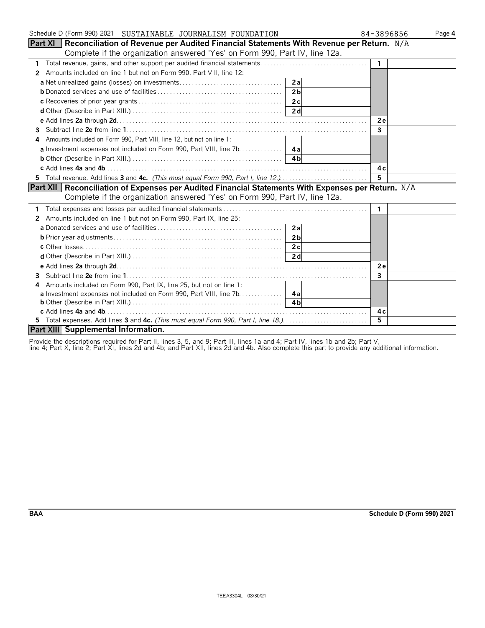| Schedule D (Form 990) 2021  SUSTAINABLE JOURNALISM FOUNDATION                                            | 84-3896856   | Page 4 |
|----------------------------------------------------------------------------------------------------------|--------------|--------|
| <b>Part XI</b> Reconciliation of Revenue per Audited Financial Statements With Revenue per Return. $N/A$ |              |        |
| Complete if the organization answered 'Yes' on Form 990, Part IV, line 12a.                              |              |        |
| $\mathbf{1}$                                                                                             | $\mathbf{1}$ |        |
| Amounts included on line 1 but not on Form 990, Part VIII, line 12:<br>2                                 |              |        |
| 2al                                                                                                      |              |        |
| 2 <sub>b</sub>                                                                                           |              |        |
|                                                                                                          |              |        |
|                                                                                                          |              |        |
|                                                                                                          | 2e           |        |
| 3.                                                                                                       | $\mathbf{3}$ |        |
| Amounts included on Form 990, Part VIII, line 12, but not on line 1:                                     |              |        |
|                                                                                                          |              |        |
|                                                                                                          |              |        |
|                                                                                                          | 4 c          |        |
| 5 Total revenue. Add lines 3 and 4c. (This must equal Form 990, Part I, line 12.)                        | 5            |        |
| Part XII   Reconciliation of Expenses per Audited Financial Statements With Expenses per Return. N/A     |              |        |
| Complete if the organization answered 'Yes' on Form 990, Part IV, line 12a.                              |              |        |
|                                                                                                          | 1.           |        |
| 2 Amounts included on line 1 but not on Form 990, Part IX, line 25:                                      |              |        |
| 2al                                                                                                      |              |        |
| 2 <sub>b</sub>                                                                                           |              |        |
|                                                                                                          |              |        |
|                                                                                                          |              |        |
|                                                                                                          | 2e           |        |
| 3                                                                                                        | 3            |        |
| Amounts included on Form 990, Part IX, line 25, but not on line 1:<br>4                                  |              |        |
| <b>a</b> Investment expenses not included on Form 990, Part VIII, line 7b. 4a                            |              |        |
|                                                                                                          |              |        |
|                                                                                                          | 4 c          |        |
|                                                                                                          | 5            |        |
| Part XIII Supplemental Information.                                                                      |              |        |

Provide the descriptions required for Part II, lines 3, 5, and 9; Part III, lines 1a and 4; Part IV, lines 1b and 2b; Part V,

line 4; Part X, line 2; Part XI, lines 2d and 4b; and Part XII, lines 2d and 4b. Also complete this part to provide any additional information.